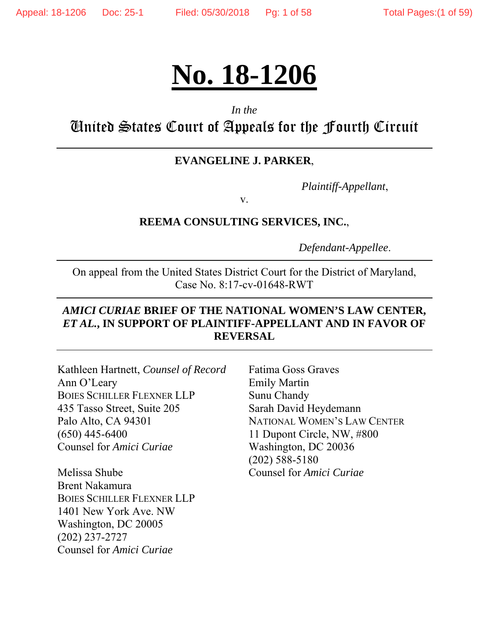# **No. 18-1206**

#### *In the*

United States Court of Appeals for the Fourth Circuit

#### **EVANGELINE J. PARKER**,

*Plaintiff-Appellant*,

v.

#### **REEMA CONSULTING SERVICES, INC.**,

*Defendant-Appellee*.

On appeal from the United States District Court for the District of Maryland, Case No. 8:17-cv-01648-RWT

## *AMICI CURIAE* **BRIEF OF THE NATIONAL WOMEN'S LAW CENTER,**  *ET AL.***, IN SUPPORT OF PLAINTIFF-APPELLANT AND IN FAVOR OF REVERSAL**

| Kathleen Hartnett, Counsel of Record | <b>Fatima Goss Graves</b>                |
|--------------------------------------|------------------------------------------|
| Ann O'Leary                          | <b>Emily Martin</b>                      |
| <b>BOIES SCHILLER FLEXNER LLP</b>    | Sunu Chandy                              |
| 435 Tasso Street, Suite 205          | Sarah David Heydemann                    |
| Palo Alto, CA 94301                  | NATIONAL WOMEN'S LAW CENTER              |
| $(650)$ 445-6400                     | 11 Dupont Circle, NW, #800               |
| Counsel for Amici Curiae             | Washington, DC 20036<br>$(202)$ 588-5180 |
| Melissa Shube                        | Counsel for <i>Amici Curiae</i>          |
| <b>Brent Nakamura</b>                |                                          |
| <b>BOIES SCHILLER FLEXNER LLP</b>    |                                          |
| 1401 New York Ave. NW                |                                          |
|                                      |                                          |

Washington, DC 20005 (202) 237-2727 Counsel for *Amici Curiae*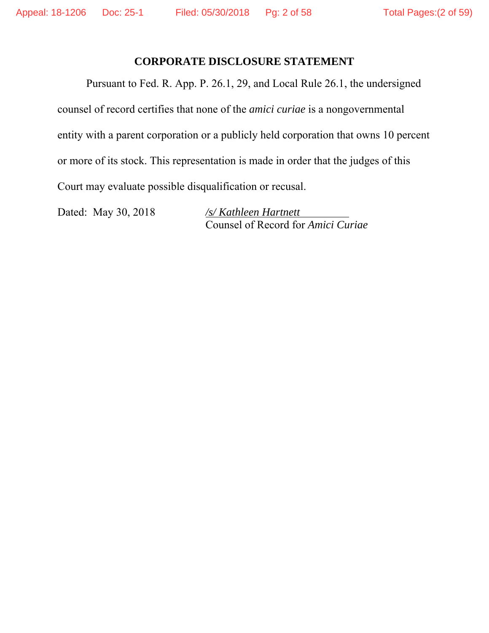#### **CORPORATE DISCLOSURE STATEMENT**

Pursuant to Fed. R. App. P. 26.1, 29, and Local Rule 26.1, the undersigned counsel of record certifies that none of the *amici curiae* is a nongovernmental entity with a parent corporation or a publicly held corporation that owns 10 percent or more of its stock. This representation is made in order that the judges of this Court may evaluate possible disqualification or recusal.

Dated: May 30, 2018 */s/ Kathleen Hartnett*

Counsel of Record for *Amici Curiae*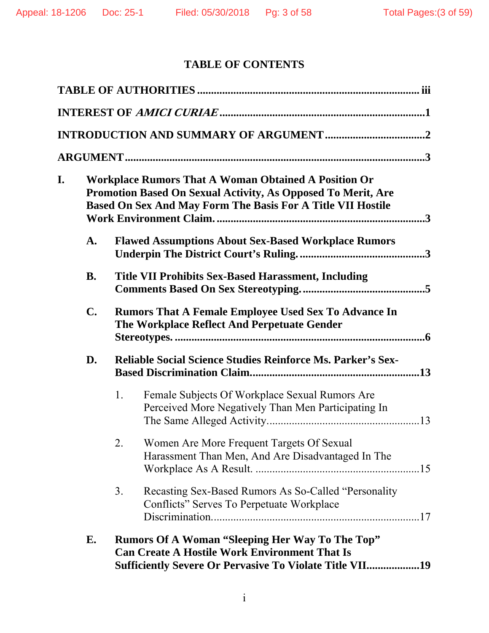# **TABLE OF CONTENTS**

| I. |                | <b>Workplace Rumors That A Woman Obtained A Position Or</b><br>Promotion Based On Sexual Activity, As Opposed To Merit, Are<br>Based On Sex And May Form The Basis For A Title VII Hostile |
|----|----------------|--------------------------------------------------------------------------------------------------------------------------------------------------------------------------------------------|
|    | A.             | <b>Flawed Assumptions About Sex-Based Workplace Rumors</b>                                                                                                                                 |
|    | <b>B.</b>      | <b>Title VII Prohibits Sex-Based Harassment, Including</b>                                                                                                                                 |
|    | $\mathbf{C}$ . | <b>Rumors That A Female Employee Used Sex To Advance In</b><br>The Workplace Reflect And Perpetuate Gender                                                                                 |
|    | D.             | <b>Reliable Social Science Studies Reinforce Ms. Parker's Sex-</b>                                                                                                                         |
|    |                | 1.<br>Female Subjects Of Workplace Sexual Rumors Are<br>Perceived More Negatively Than Men Participating In                                                                                |
|    |                | Women Are More Frequent Targets Of Sexual<br>2.<br>Harassment Than Men, And Are Disadvantaged In The                                                                                       |
|    |                | Recasting Sex-Based Rumors As So-Called "Personality<br>3.<br>Conflicts" Serves To Perpetuate Workplace                                                                                    |
|    | E.             | <b>Rumors Of A Woman "Sleeping Her Way To The Top"</b><br><b>Can Create A Hostile Work Environment That Is</b>                                                                             |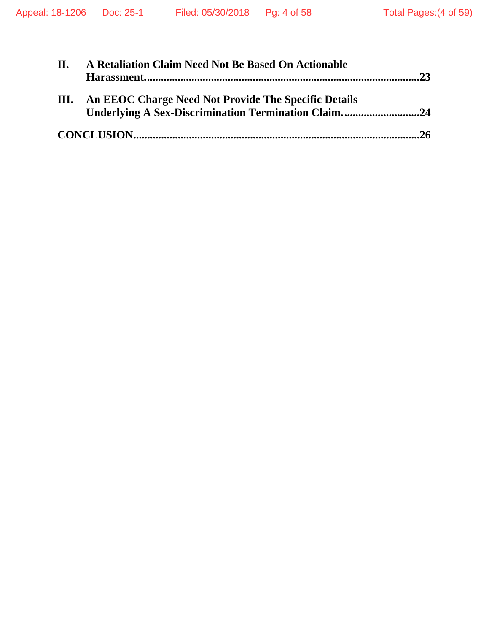| II. | A Retaliation Claim Need Not Be Based On Actionable                                                                |
|-----|--------------------------------------------------------------------------------------------------------------------|
| Ш.  | An EEOC Charge Need Not Provide The Specific Details<br><b>Underlying A Sex-Discrimination Termination Claim24</b> |
|     |                                                                                                                    |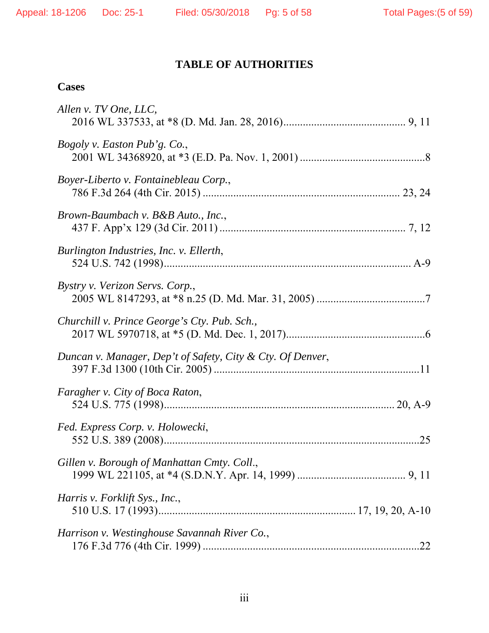# **TABLE OF AUTHORITIES**

## **Cases**

| Allen v. TV One, LLC,                                      |     |
|------------------------------------------------------------|-----|
| <i>Bogoly v. Easton Pub'g. Co.,</i>                        |     |
| Boyer-Liberto v. Fontainebleau Corp.,                      |     |
| Brown-Baumbach v. B&B Auto., Inc.,                         |     |
| Burlington Industries, Inc. v. Ellerth,                    |     |
| Bystry v. Verizon Servs. Corp.,                            |     |
| Churchill v. Prince George's Cty. Pub. Sch.,               |     |
| Duncan v. Manager, Dep't of Safety, City & Cty. Of Denver, |     |
| Faragher v. City of Boca Raton,                            |     |
| Fed. Express Corp. v. Holowecki,                           | 25  |
| Gillen v. Borough of Manhattan Cmty. Coll.,                |     |
| Harris v. Forklift Sys., Inc.,                             |     |
| Harrison v. Westinghouse Savannah River Co.,               | .22 |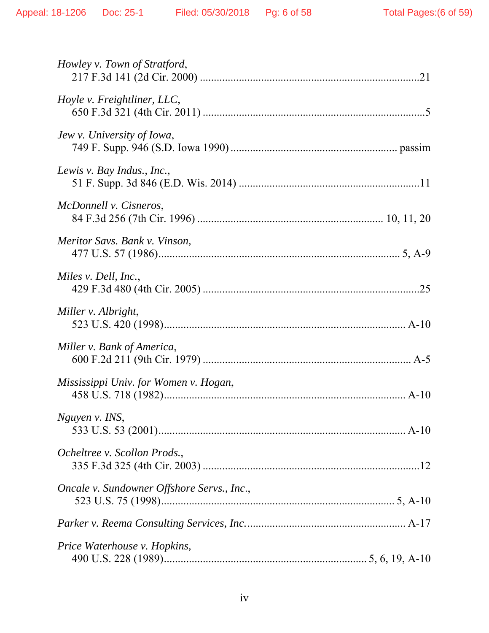| Howley v. Town of Stratford,               |  |
|--------------------------------------------|--|
| Hoyle v. Freightliner, LLC,                |  |
| Jew v. University of Iowa,                 |  |
| Lewis v. Bay Indus., Inc.,                 |  |
| McDonnell v. Cisneros,                     |  |
| Meritor Savs. Bank v. Vinson,              |  |
| Miles v. Dell, Inc.,                       |  |
| Miller v. Albright,                        |  |
| Miller v. Bank of America,                 |  |
| Mississippi Univ. for Women v. Hogan,      |  |
| Nguyen v. INS,                             |  |
| Ocheltree v. Scollon Prods.,               |  |
| Oncale v. Sundowner Offshore Servs., Inc., |  |
|                                            |  |
| Price Waterhouse v. Hopkins,               |  |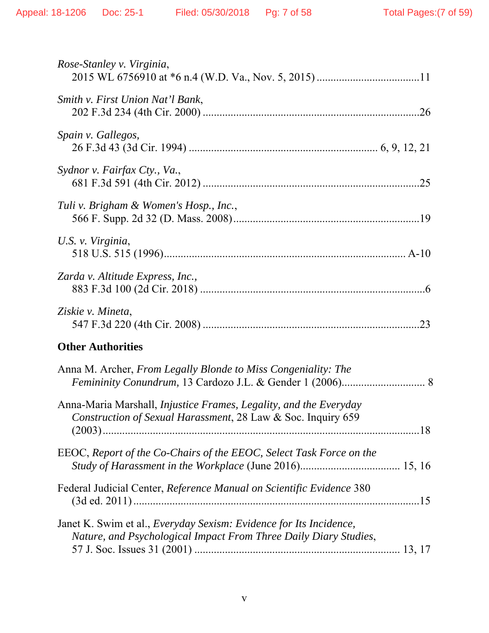| <i>Rose-Stanley v. Virginia,</i>                                                                                                               |
|------------------------------------------------------------------------------------------------------------------------------------------------|
| Smith v. First Union Nat'l Bank,                                                                                                               |
| Spain v. Gallegos,                                                                                                                             |
| Sydnor v. Fairfax Cty., Va.,                                                                                                                   |
| Tuli v. Brigham & Women's Hosp., Inc.,                                                                                                         |
| U.S. v. Virginia,                                                                                                                              |
| Zarda v. Altitude Express, Inc.,                                                                                                               |
| Ziskie v. Mineta,                                                                                                                              |
| <b>Other Authorities</b>                                                                                                                       |
| Anna M. Archer, From Legally Blonde to Miss Congeniality: The                                                                                  |
| Anna-Maria Marshall, <i>Injustice Frames, Legality, and the Everyday</i><br>Construction of Sexual Harassment, 28 Law & Soc. Inquiry 659       |
| EEOC, Report of the Co-Chairs of the EEOC, Select Task Force on the                                                                            |
| Federal Judicial Center, Reference Manual on Scientific Evidence 380                                                                           |
| Janet K. Swim et al., <i>Everyday Sexism: Evidence for Its Incidence</i> ,<br>Nature, and Psychological Impact From Three Daily Diary Studies, |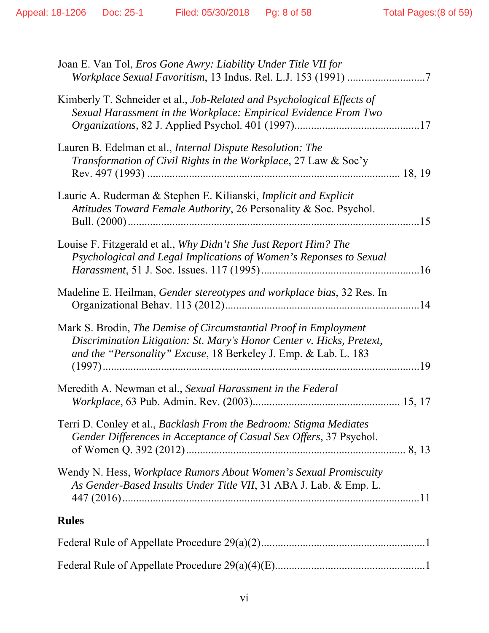| Joan E. Van Tol, <i>Eros Gone Awry: Liability Under Title VII for</i><br>Workplace Sexual Favoritism, 13 Indus. Rel. L.J. 153 (1991) 7                                                                       |  |
|--------------------------------------------------------------------------------------------------------------------------------------------------------------------------------------------------------------|--|
| Kimberly T. Schneider et al., <i>Job-Related and Psychological Effects of</i><br>Sexual Harassment in the Workplace: Empirical Evidence From Two                                                             |  |
| Lauren B. Edelman et al., <i>Internal Dispute Resolution: The</i><br><i>Transformation of Civil Rights in the Workplace, 27 Law &amp; Soc'y</i>                                                              |  |
| Laurie A. Ruderman & Stephen E. Kilianski, Implicit and Explicit<br>Attitudes Toward Female Authority, 26 Personality & Soc. Psychol.                                                                        |  |
| Louise F. Fitzgerald et al., Why Didn't She Just Report Him? The<br>Psychological and Legal Implications of Women's Reponses to Sexual                                                                       |  |
| Madeline E. Heilman, Gender stereotypes and workplace bias, 32 Res. In                                                                                                                                       |  |
| Mark S. Brodin, The Demise of Circumstantial Proof in Employment<br>Discrimination Litigation: St. Mary's Honor Center v. Hicks, Pretext,<br>and the "Personality" Excuse, 18 Berkeley J. Emp. & Lab. L. 183 |  |
| Meredith A. Newman et al., Sexual Harassment in the Federal                                                                                                                                                  |  |
| Terri D. Conley et al., <i>Backlash From the Bedroom: Stigma Mediates</i><br>Gender Differences in Acceptance of Casual Sex Offers, 37 Psychol.                                                              |  |
| Wendy N. Hess, Workplace Rumors About Women's Sexual Promiscuity<br>As Gender-Based Insults Under Title VII, 31 ABA J. Lab. & Emp. L.                                                                        |  |
| <b>Rules</b>                                                                                                                                                                                                 |  |
|                                                                                                                                                                                                              |  |
|                                                                                                                                                                                                              |  |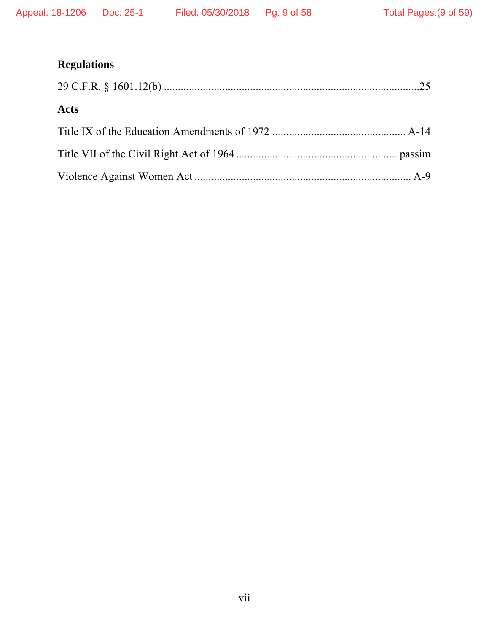# **Regulations**

| <b>Acts</b> |  |
|-------------|--|
|             |  |
|             |  |
|             |  |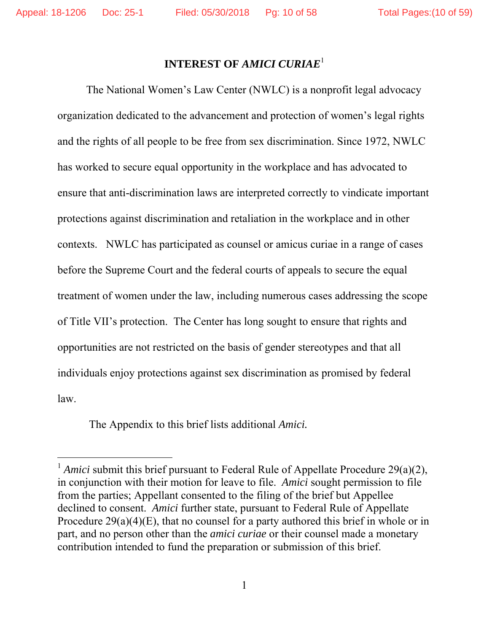$\overline{a}$ 

## **INTEREST OF** *AMICI CURIAE*<sup>1</sup>

The National Women's Law Center (NWLC) is a nonprofit legal advocacy organization dedicated to the advancement and protection of women's legal rights and the rights of all people to be free from sex discrimination. Since 1972, NWLC has worked to secure equal opportunity in the workplace and has advocated to ensure that anti-discrimination laws are interpreted correctly to vindicate important protections against discrimination and retaliation in the workplace and in other contexts. NWLC has participated as counsel or amicus curiae in a range of cases before the Supreme Court and the federal courts of appeals to secure the equal treatment of women under the law, including numerous cases addressing the scope of Title VII's protection. The Center has long sought to ensure that rights and opportunities are not restricted on the basis of gender stereotypes and that all individuals enjoy protections against sex discrimination as promised by federal law.

The Appendix to this brief lists additional *Amici.* 

<sup>&</sup>lt;sup>1</sup> *Amici* submit this brief pursuant to Federal Rule of Appellate Procedure 29(a)(2), in conjunction with their motion for leave to file. *Amici* sought permission to file from the parties; Appellant consented to the filing of the brief but Appellee declined to consent. *Amici* further state, pursuant to Federal Rule of Appellate Procedure 29(a)(4)(E), that no counsel for a party authored this brief in whole or in part, and no person other than the *amici curiae* or their counsel made a monetary contribution intended to fund the preparation or submission of this brief.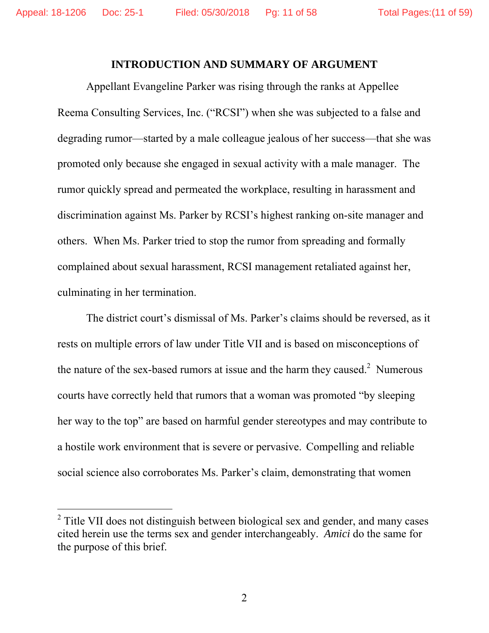-

#### **INTRODUCTION AND SUMMARY OF ARGUMENT**

Appellant Evangeline Parker was rising through the ranks at Appellee Reema Consulting Services, Inc. ("RCSI") when she was subjected to a false and degrading rumor—started by a male colleague jealous of her success—that she was promoted only because she engaged in sexual activity with a male manager. The rumor quickly spread and permeated the workplace, resulting in harassment and discrimination against Ms. Parker by RCSI's highest ranking on-site manager and others. When Ms. Parker tried to stop the rumor from spreading and formally complained about sexual harassment, RCSI management retaliated against her, culminating in her termination.

The district court's dismissal of Ms. Parker's claims should be reversed, as it rests on multiple errors of law under Title VII and is based on misconceptions of the nature of the sex-based rumors at issue and the harm they caused.<sup>2</sup> Numerous courts have correctly held that rumors that a woman was promoted "by sleeping her way to the top" are based on harmful gender stereotypes and may contribute to a hostile work environment that is severe or pervasive. Compelling and reliable social science also corroborates Ms. Parker's claim, demonstrating that women

<sup>&</sup>lt;sup>2</sup> Title VII does not distinguish between biological sex and gender, and many cases cited herein use the terms sex and gender interchangeably. *Amici* do the same for the purpose of this brief.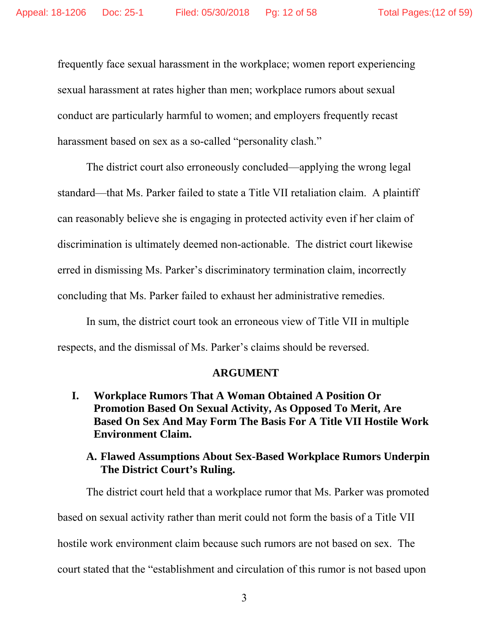frequently face sexual harassment in the workplace; women report experiencing sexual harassment at rates higher than men; workplace rumors about sexual conduct are particularly harmful to women; and employers frequently recast harassment based on sex as a so-called "personality clash."

The district court also erroneously concluded—applying the wrong legal standard—that Ms. Parker failed to state a Title VII retaliation claim. A plaintiff can reasonably believe she is engaging in protected activity even if her claim of discrimination is ultimately deemed non-actionable. The district court likewise erred in dismissing Ms. Parker's discriminatory termination claim, incorrectly concluding that Ms. Parker failed to exhaust her administrative remedies.

In sum, the district court took an erroneous view of Title VII in multiple respects, and the dismissal of Ms. Parker's claims should be reversed.

#### **ARGUMENT**

**I. Workplace Rumors That A Woman Obtained A Position Or Promotion Based On Sexual Activity, As Opposed To Merit, Are Based On Sex And May Form The Basis For A Title VII Hostile Work Environment Claim.** 

#### **A. Flawed Assumptions About Sex-Based Workplace Rumors Underpin The District Court's Ruling.**

The district court held that a workplace rumor that Ms. Parker was promoted based on sexual activity rather than merit could not form the basis of a Title VII hostile work environment claim because such rumors are not based on sex. The court stated that the "establishment and circulation of this rumor is not based upon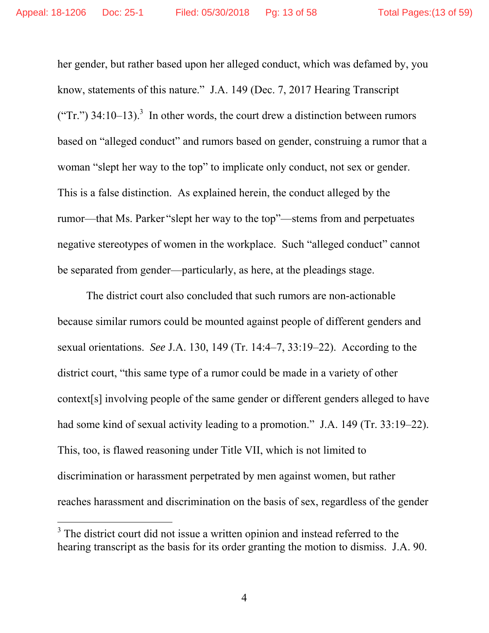-

her gender, but rather based upon her alleged conduct, which was defamed by, you know, statements of this nature." J.A. 149 (Dec. 7, 2017 Hearing Transcript ("Tr.")  $34:10-13$ .<sup>3</sup> In other words, the court drew a distinction between rumors based on "alleged conduct" and rumors based on gender, construing a rumor that a woman "slept her way to the top" to implicate only conduct, not sex or gender. This is a false distinction. As explained herein, the conduct alleged by the rumor—that Ms. Parker "slept her way to the top"—stems from and perpetuates negative stereotypes of women in the workplace. Such "alleged conduct" cannot be separated from gender—particularly, as here, at the pleadings stage.

The district court also concluded that such rumors are non-actionable because similar rumors could be mounted against people of different genders and sexual orientations. *See* J.A. 130, 149 (Tr. 14:4–7, 33:19–22). According to the district court, "this same type of a rumor could be made in a variety of other context[s] involving people of the same gender or different genders alleged to have had some kind of sexual activity leading to a promotion." J.A. 149 (Tr. 33:19–22). This, too, is flawed reasoning under Title VII, which is not limited to discrimination or harassment perpetrated by men against women, but rather reaches harassment and discrimination on the basis of sex, regardless of the gender

<sup>&</sup>lt;sup>3</sup> The district court did not issue a written opinion and instead referred to the hearing transcript as the basis for its order granting the motion to dismiss. J.A. 90.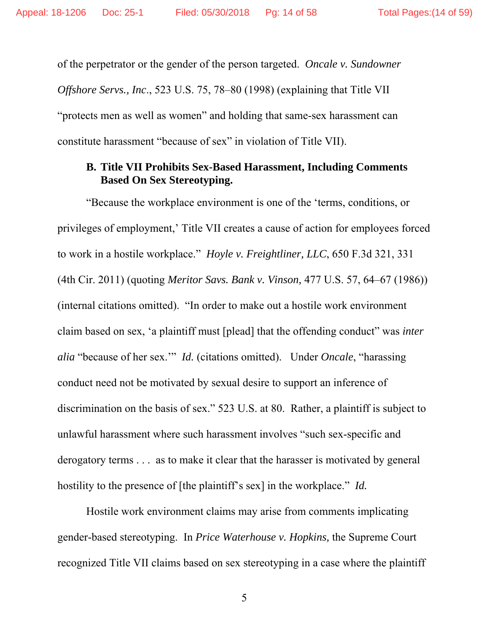of the perpetrator or the gender of the person targeted. *Oncale v. Sundowner Offshore Servs., Inc*., 523 U.S. 75, 78–80 (1998) (explaining that Title VII "protects men as well as women" and holding that same-sex harassment can constitute harassment "because of sex" in violation of Title VII).

#### **B. Title VII Prohibits Sex-Based Harassment, Including Comments Based On Sex Stereotyping.**

"Because the workplace environment is one of the 'terms, conditions, or privileges of employment,' Title VII creates a cause of action for employees forced to work in a hostile workplace." *Hoyle v. Freightliner, LLC*, 650 F.3d 321, 331 (4th Cir. 2011) (quoting *Meritor Savs. Bank v. Vinson,* 477 U.S. 57, 64–67 (1986)) (internal citations omitted). "In order to make out a hostile work environment claim based on sex, 'a plaintiff must [plead] that the offending conduct" was *inter alia* "because of her sex.'" *Id.* (citations omitted). Under *Oncale*, "harassing conduct need not be motivated by sexual desire to support an inference of discrimination on the basis of sex." 523 U.S. at 80. Rather, a plaintiff is subject to unlawful harassment where such harassment involves "such sex-specific and derogatory terms . . . as to make it clear that the harasser is motivated by general hostility to the presence of [the plaintiff's sex] in the workplace." *Id.*

 Hostile work environment claims may arise from comments implicating gender-based stereotyping. In *Price Waterhouse v. Hopkins,* the Supreme Court recognized Title VII claims based on sex stereotyping in a case where the plaintiff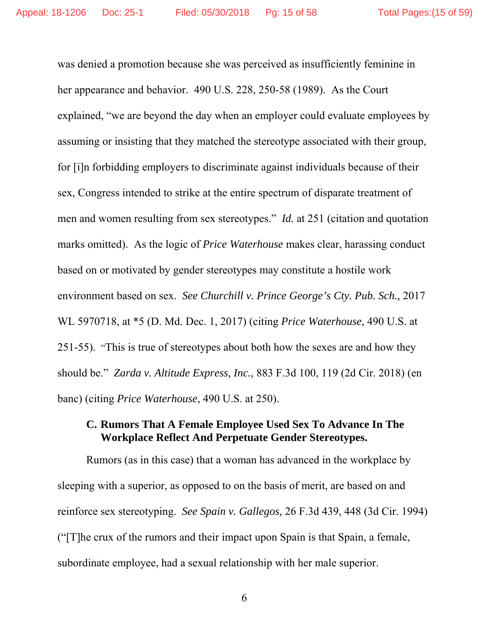was denied a promotion because she was perceived as insufficiently feminine in her appearance and behavior. 490 U.S. 228, 250-58 (1989). As the Court explained, "we are beyond the day when an employer could evaluate employees by assuming or insisting that they matched the stereotype associated with their group, for [i]n forbidding employers to discriminate against individuals because of their sex, Congress intended to strike at the entire spectrum of disparate treatment of men and women resulting from sex stereotypes." *Id.* at 251 (citation and quotation marks omitted). As the logic of *Price Waterhouse* makes clear, harassing conduct based on or motivated by gender stereotypes may constitute a hostile work environment based on sex. *See Churchill v. Prince George's Cty. Pub. Sch.,* 2017 WL 5970718, at \*5 (D. Md. Dec. 1, 2017) (citing *Price Waterhouse*, 490 U.S. at 251-55). "This is true of stereotypes about both how the sexes are and how they should be." *Zarda v. Altitude Express, Inc.,* 883 F.3d 100, 119 (2d Cir. 2018) (en banc) (citing *Price Waterhouse*, 490 U.S. at 250).

### **C. Rumors That A Female Employee Used Sex To Advance In The Workplace Reflect And Perpetuate Gender Stereotypes.**

Rumors (as in this case) that a woman has advanced in the workplace by sleeping with a superior, as opposed to on the basis of merit, are based on and reinforce sex stereotyping. *See Spain v. Gallegos,* 26 F.3d 439, 448 (3d Cir. 1994) ("[T]he crux of the rumors and their impact upon Spain is that Spain, a female, subordinate employee, had a sexual relationship with her male superior.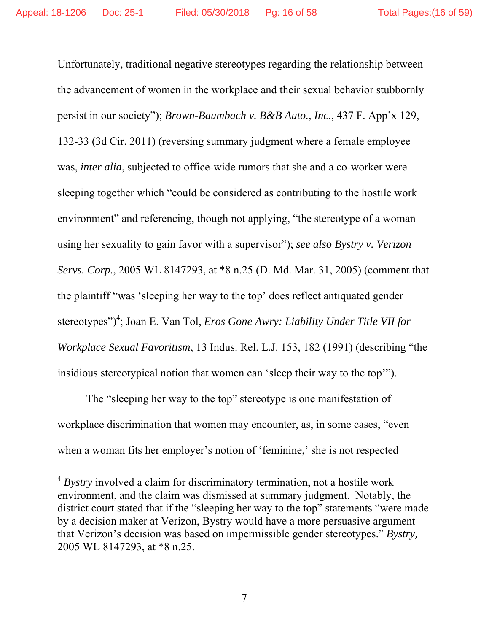Unfortunately, traditional negative stereotypes regarding the relationship between the advancement of women in the workplace and their sexual behavior stubbornly persist in our society"); *Brown-Baumbach v. B&B Auto., Inc.*, 437 F. App'x 129, 132-33 (3d Cir. 2011) (reversing summary judgment where a female employee was, *inter alia*, subjected to office-wide rumors that she and a co-worker were sleeping together which "could be considered as contributing to the hostile work environment" and referencing, though not applying, "the stereotype of a woman using her sexuality to gain favor with a supervisor"); *see also Bystry v. Verizon Servs. Corp.*, 2005 WL 8147293, at \*8 n.25 (D. Md. Mar. 31, 2005) (comment that the plaintiff "was 'sleeping her way to the top' does reflect antiquated gender stereotypes")<sup>4</sup>; Joan E. Van Tol, *Eros Gone Awry: Liability Under Title VII for Workplace Sexual Favoritism*, 13 Indus. Rel. L.J. 153, 182 (1991) (describing "the insidious stereotypical notion that women can 'sleep their way to the top'").

 The "sleeping her way to the top" stereotype is one manifestation of workplace discrimination that women may encounter, as, in some cases, "even when a woman fits her employer's notion of 'feminine,' she is not respected

 $\overline{a}$ 

<sup>4</sup> *Bystry* involved a claim for discriminatory termination, not a hostile work environment, and the claim was dismissed at summary judgment. Notably, the district court stated that if the "sleeping her way to the top" statements "were made by a decision maker at Verizon, Bystry would have a more persuasive argument that Verizon's decision was based on impermissible gender stereotypes." *Bystry,*  2005 WL 8147293, at \*8 n.25.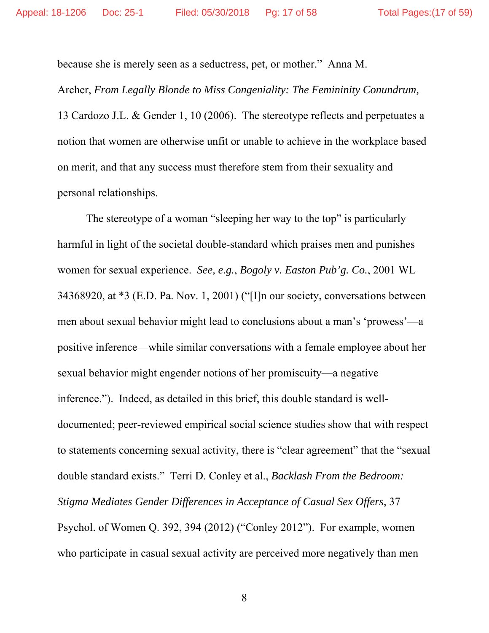because she is merely seen as a seductress, pet, or mother." Anna M.

Archer, *From Legally Blonde to Miss Congeniality: The Femininity Conundrum,* 13 Cardozo J.L. & Gender 1, 10 (2006). The stereotype reflects and perpetuates a notion that women are otherwise unfit or unable to achieve in the workplace based on merit, and that any success must therefore stem from their sexuality and personal relationships.

The stereotype of a woman "sleeping her way to the top" is particularly harmful in light of the societal double-standard which praises men and punishes women for sexual experience. *See, e.g.*, *Bogoly v. Easton Pub'g. Co.*, 2001 WL 34368920, at \*3 (E.D. Pa. Nov. 1, 2001) ("[I]n our society, conversations between men about sexual behavior might lead to conclusions about a man's 'prowess'—a positive inference—while similar conversations with a female employee about her sexual behavior might engender notions of her promiscuity—a negative inference."). Indeed, as detailed in this brief, this double standard is welldocumented; peer-reviewed empirical social science studies show that with respect to statements concerning sexual activity, there is "clear agreement" that the "sexual double standard exists." Terri D. Conley et al., *Backlash From the Bedroom: Stigma Mediates Gender Differences in Acceptance of Casual Sex Offers*, 37 Psychol. of Women Q. 392, 394 (2012) ("Conley 2012"). For example, women who participate in casual sexual activity are perceived more negatively than men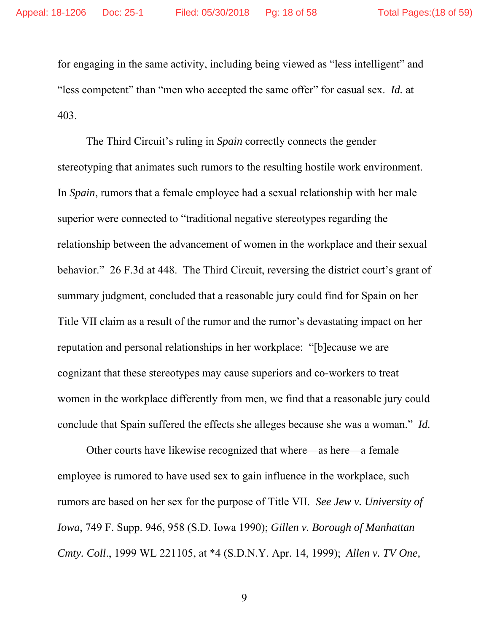for engaging in the same activity, including being viewed as "less intelligent" and "less competent" than "men who accepted the same offer" for casual sex. *Id.* at 403.

The Third Circuit's ruling in *Spain* correctly connects the gender stereotyping that animates such rumors to the resulting hostile work environment. In *Spain*, rumors that a female employee had a sexual relationship with her male superior were connected to "traditional negative stereotypes regarding the relationship between the advancement of women in the workplace and their sexual behavior." 26 F.3d at 448. The Third Circuit, reversing the district court's grant of summary judgment, concluded that a reasonable jury could find for Spain on her Title VII claim as a result of the rumor and the rumor's devastating impact on her reputation and personal relationships in her workplace: "[b]ecause we are cognizant that these stereotypes may cause superiors and co-workers to treat women in the workplace differently from men, we find that a reasonable jury could conclude that Spain suffered the effects she alleges because she was a woman." *Id.* 

Other courts have likewise recognized that where—as here—a female employee is rumored to have used sex to gain influence in the workplace, such rumors are based on her sex for the purpose of Title VII*. See Jew v. University of Iowa*, 749 F. Supp. 946, 958 (S.D. Iowa 1990); *Gillen v. Borough of Manhattan Cmty. Coll*., 1999 WL 221105, at \*4 (S.D.N.Y. Apr. 14, 1999); *Allen v. TV One,*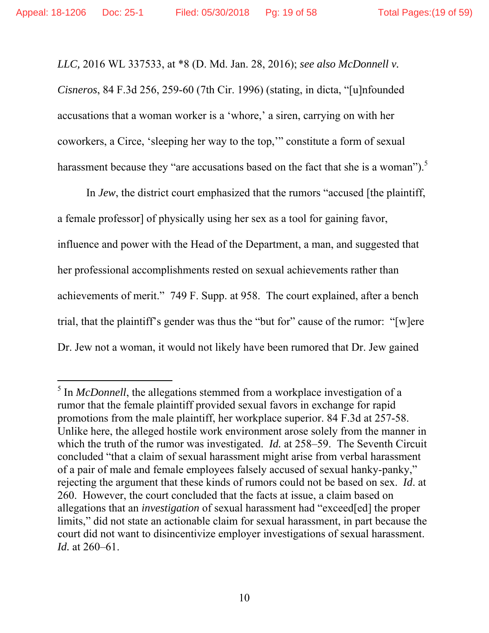$\overline{a}$ 

*LLC,* 2016 WL 337533, at \*8 (D. Md. Jan. 28, 2016); *see also McDonnell v. Cisneros*, 84 F.3d 256, 259-60 (7th Cir. 1996) (stating, in dicta, "[u]nfounded accusations that a woman worker is a 'whore,' a siren, carrying on with her coworkers, a Circe, 'sleeping her way to the top,'" constitute a form of sexual harassment because they "are accusations based on the fact that she is a woman").<sup>5</sup>

In *Jew*, the district court emphasized that the rumors "accused [the plaintiff, a female professor] of physically using her sex as a tool for gaining favor, influence and power with the Head of the Department, a man, and suggested that her professional accomplishments rested on sexual achievements rather than achievements of merit." 749 F. Supp. at 958. The court explained, after a bench trial, that the plaintiff's gender was thus the "but for" cause of the rumor: "[w]ere Dr. Jew not a woman, it would not likely have been rumored that Dr. Jew gained

<sup>&</sup>lt;sup>5</sup> In *McDonnell*, the allegations stemmed from a workplace investigation of a rumor that the female plaintiff provided sexual favors in exchange for rapid promotions from the male plaintiff, her workplace superior. 84 F.3d at 257-58. Unlike here, the alleged hostile work environment arose solely from the manner in which the truth of the rumor was investigated. *Id.* at 258–59. The Seventh Circuit concluded "that a claim of sexual harassment might arise from verbal harassment of a pair of male and female employees falsely accused of sexual hanky-panky," rejecting the argument that these kinds of rumors could not be based on sex. *Id*. at 260. However, the court concluded that the facts at issue, a claim based on allegations that an *investigation* of sexual harassment had "exceed[ed] the proper limits," did not state an actionable claim for sexual harassment, in part because the court did not want to disincentivize employer investigations of sexual harassment. *Id.* at 260–61.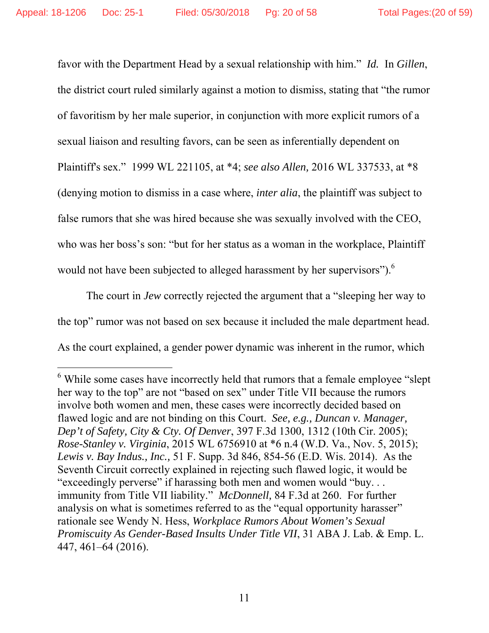-

favor with the Department Head by a sexual relationship with him." *Id.* In *Gillen*, the district court ruled similarly against a motion to dismiss, stating that "the rumor of favoritism by her male superior, in conjunction with more explicit rumors of a sexual liaison and resulting favors, can be seen as inferentially dependent on Plaintiff's sex." 1999 WL 221105, at \*4; *see also Allen,* 2016 WL 337533, at \*8 (denying motion to dismiss in a case where, *inter alia*, the plaintiff was subject to false rumors that she was hired because she was sexually involved with the CEO, who was her boss's son: "but for her status as a woman in the workplace, Plaintiff would not have been subjected to alleged harassment by her supervisors"). $<sup>6</sup>$ </sup>

The court in *Jew* correctly rejected the argument that a "sleeping her way to the top" rumor was not based on sex because it included the male department head. As the court explained, a gender power dynamic was inherent in the rumor, which

<sup>&</sup>lt;sup>6</sup> While some cases have incorrectly held that rumors that a female employee "slept" her way to the top" are not "based on sex" under Title VII because the rumors involve both women and men, these cases were incorrectly decided based on flawed logic and are not binding on this Court. *See, e.g., Duncan v. Manager, Dep't of Safety, City & Cty. Of Denver*, 397 F.3d 1300, 1312 (10th Cir. 2005); *Rose-Stanley v. Virginia*, 2015 WL 6756910 at \*6 n.4 (W.D. Va., Nov. 5, 2015); *Lewis v. Bay Indus., Inc.,* 51 F. Supp. 3d 846, 854-56 (E.D. Wis. 2014). As the Seventh Circuit correctly explained in rejecting such flawed logic, it would be "exceedingly perverse" if harassing both men and women would "buy... immunity from Title VII liability." *McDonnell,* 84 F.3d at 260. For further analysis on what is sometimes referred to as the "equal opportunity harasser" rationale see Wendy N. Hess, *Workplace Rumors About Women's Sexual Promiscuity As Gender-Based Insults Under Title VII*, 31 ABA J. Lab. & Emp. L. 447, 461–64 (2016).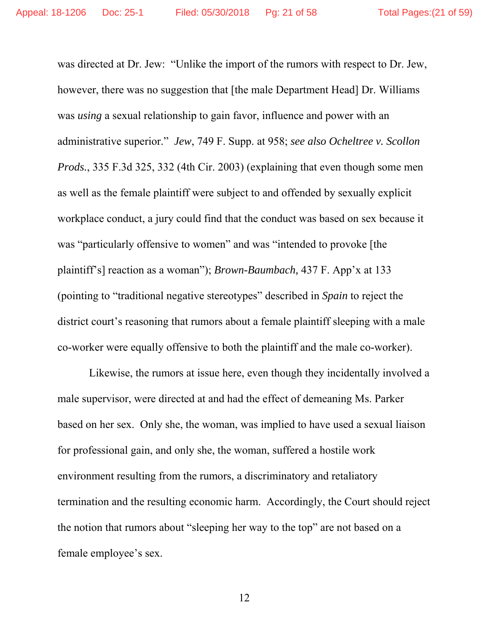was directed at Dr. Jew: "Unlike the import of the rumors with respect to Dr. Jew, however, there was no suggestion that [the male Department Head] Dr. Williams was *using* a sexual relationship to gain favor, influence and power with an administrative superior." *Jew*, 749 F. Supp. at 958; *see also Ocheltree v. Scollon Prods.*, 335 F.3d 325, 332 (4th Cir. 2003) (explaining that even though some men as well as the female plaintiff were subject to and offended by sexually explicit workplace conduct, a jury could find that the conduct was based on sex because it was "particularly offensive to women" and was "intended to provoke [the plaintiff's] reaction as a woman"); *Brown-Baumbach,* 437 F. App'x at 133 (pointing to "traditional negative stereotypes" described in *Spain* to reject the district court's reasoning that rumors about a female plaintiff sleeping with a male co-worker were equally offensive to both the plaintiff and the male co-worker).

 Likewise, the rumors at issue here, even though they incidentally involved a male supervisor, were directed at and had the effect of demeaning Ms. Parker based on her sex. Only she, the woman, was implied to have used a sexual liaison for professional gain, and only she, the woman, suffered a hostile work environment resulting from the rumors, a discriminatory and retaliatory termination and the resulting economic harm. Accordingly, the Court should reject the notion that rumors about "sleeping her way to the top" are not based on a female employee's sex.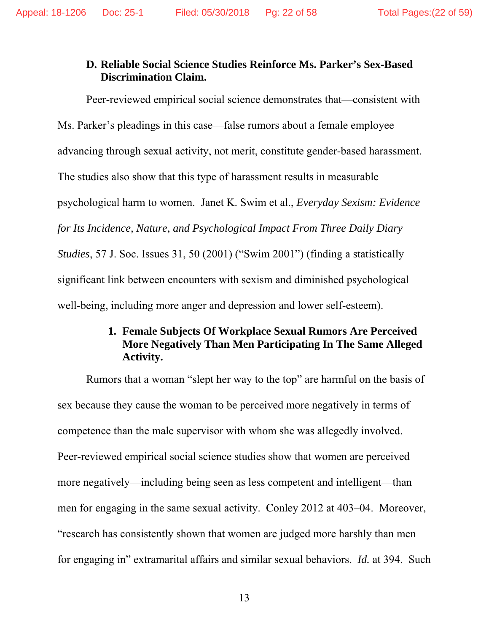#### **D. Reliable Social Science Studies Reinforce Ms. Parker's Sex-Based Discrimination Claim.**

Peer-reviewed empirical social science demonstrates that—consistent with Ms. Parker's pleadings in this case—false rumors about a female employee advancing through sexual activity, not merit, constitute gender-based harassment. The studies also show that this type of harassment results in measurable psychological harm to women. Janet K. Swim et al., *Everyday Sexism: Evidence for Its Incidence, Nature, and Psychological Impact From Three Daily Diary Studies*, 57 J. Soc. Issues 31, 50 (2001) ("Swim 2001") (finding a statistically significant link between encounters with sexism and diminished psychological well-being, including more anger and depression and lower self-esteem).

## **1. Female Subjects Of Workplace Sexual Rumors Are Perceived More Negatively Than Men Participating In The Same Alleged Activity.**

Rumors that a woman "slept her way to the top" are harmful on the basis of sex because they cause the woman to be perceived more negatively in terms of competence than the male supervisor with whom she was allegedly involved. Peer-reviewed empirical social science studies show that women are perceived more negatively—including being seen as less competent and intelligent—than men for engaging in the same sexual activity. Conley 2012 at 403–04. Moreover, "research has consistently shown that women are judged more harshly than men for engaging in" extramarital affairs and similar sexual behaviors. *Id.* at 394. Such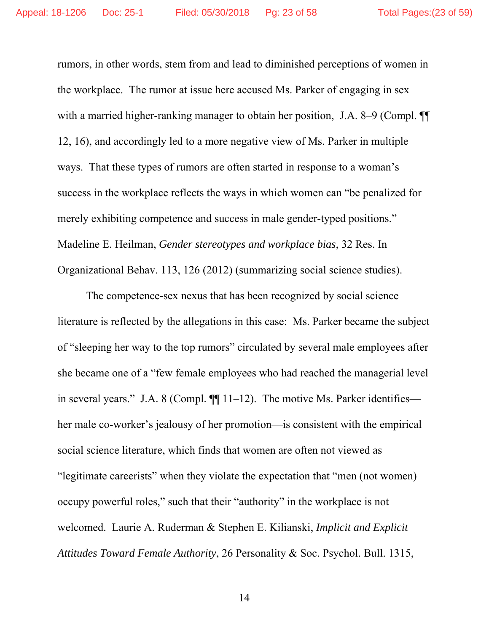rumors, in other words, stem from and lead to diminished perceptions of women in the workplace. The rumor at issue here accused Ms. Parker of engaging in sex with a married higher-ranking manager to obtain her position, J.A. 8–9 (Compl.  $\P$ 12, 16), and accordingly led to a more negative view of Ms. Parker in multiple ways. That these types of rumors are often started in response to a woman's success in the workplace reflects the ways in which women can "be penalized for merely exhibiting competence and success in male gender-typed positions." Madeline E. Heilman, *Gender stereotypes and workplace bias*, 32 Res. In Organizational Behav. 113, 126 (2012) (summarizing social science studies).

The competence-sex nexus that has been recognized by social science literature is reflected by the allegations in this case: Ms. Parker became the subject of "sleeping her way to the top rumors" circulated by several male employees after she became one of a "few female employees who had reached the managerial level in several years." J.A. 8 (Compl.  $\P\P$  11–12). The motive Ms. Parker identifies her male co-worker's jealousy of her promotion—is consistent with the empirical social science literature, which finds that women are often not viewed as "legitimate careerists" when they violate the expectation that "men (not women) occupy powerful roles," such that their "authority" in the workplace is not welcomed. Laurie A. Ruderman & Stephen E. Kilianski, *Implicit and Explicit Attitudes Toward Female Authority*, 26 Personality & Soc. Psychol. Bull. 1315,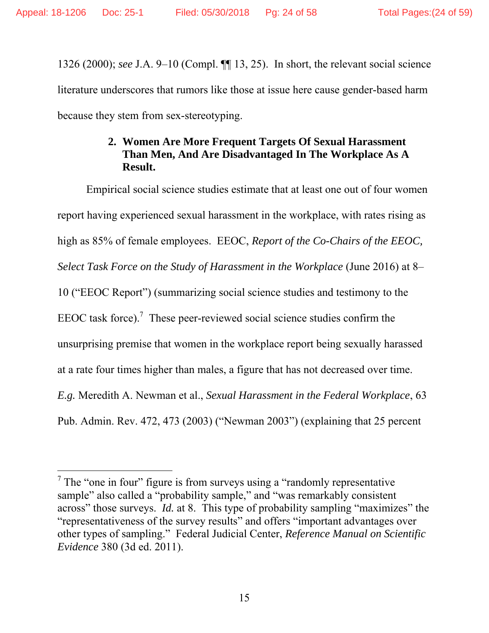-

1326 (2000); *see* J.A. 9–10 (Compl. ¶¶ 13, 25). In short, the relevant social science literature underscores that rumors like those at issue here cause gender-based harm because they stem from sex-stereotyping.

## **2. Women Are More Frequent Targets Of Sexual Harassment Than Men, And Are Disadvantaged In The Workplace As A Result.**

Empirical social science studies estimate that at least one out of four women report having experienced sexual harassment in the workplace, with rates rising as high as 85% of female employees. EEOC, *Report of the Co-Chairs of the EEOC, Select Task Force on the Study of Harassment in the Workplace* (June 2016) at 8– 10 ("EEOC Report") (summarizing social science studies and testimony to the EEOC task force).<sup>7</sup> These peer-reviewed social science studies confirm the unsurprising premise that women in the workplace report being sexually harassed at a rate four times higher than males, a figure that has not decreased over time. *E.g.* Meredith A. Newman et al., *Sexual Harassment in the Federal Workplace*, 63 Pub. Admin. Rev. 472, 473 (2003) ("Newman 2003") (explaining that 25 percent

 $7$  The "one in four" figure is from surveys using a "randomly representative sample" also called a "probability sample," and "was remarkably consistent across" those surveys. *Id.* at 8. This type of probability sampling "maximizes" the "representativeness of the survey results" and offers "important advantages over other types of sampling." Federal Judicial Center, *Reference Manual on Scientific Evidence* 380 (3d ed. 2011).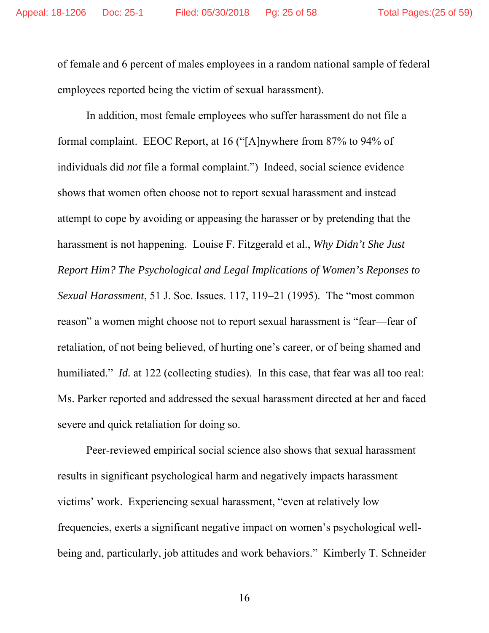of female and 6 percent of males employees in a random national sample of federal employees reported being the victim of sexual harassment).

In addition, most female employees who suffer harassment do not file a formal complaint. EEOC Report, at 16 ("[A]nywhere from 87% to 94% of individuals did *not* file a formal complaint.") Indeed, social science evidence shows that women often choose not to report sexual harassment and instead attempt to cope by avoiding or appeasing the harasser or by pretending that the harassment is not happening. Louise F. Fitzgerald et al., *Why Didn't She Just Report Him? The Psychological and Legal Implications of Women's Reponses to Sexual Harassment*, 51 J. Soc. Issues. 117, 119–21 (1995). The "most common reason" a women might choose not to report sexual harassment is "fear—fear of retaliation, of not being believed, of hurting one's career, or of being shamed and humiliated." *Id.* at 122 (collecting studies). In this case, that fear was all too real: Ms. Parker reported and addressed the sexual harassment directed at her and faced severe and quick retaliation for doing so.

Peer-reviewed empirical social science also shows that sexual harassment results in significant psychological harm and negatively impacts harassment victims' work. Experiencing sexual harassment, "even at relatively low frequencies, exerts a significant negative impact on women's psychological wellbeing and, particularly, job attitudes and work behaviors." Kimberly T. Schneider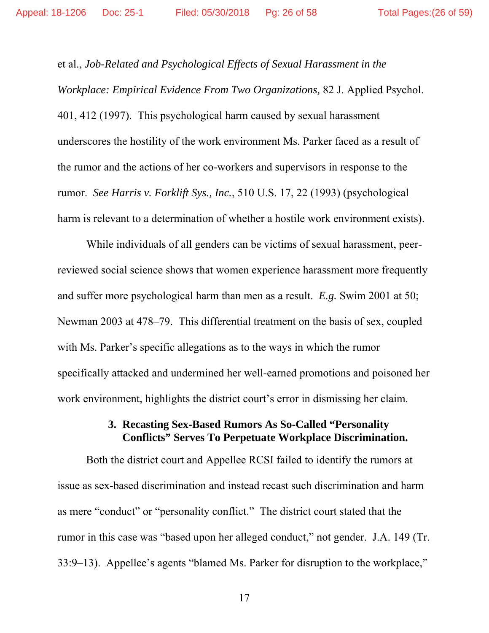et al., *Job-Related and Psychological Effects of Sexual Harassment in the Workplace: Empirical Evidence From Two Organizations,* 82 J. Applied Psychol. 401, 412 (1997). This psychological harm caused by sexual harassment underscores the hostility of the work environment Ms. Parker faced as a result of the rumor and the actions of her co-workers and supervisors in response to the rumor. *See Harris v. Forklift Sys., Inc.*, 510 U.S. 17, 22 (1993) (psychological harm is relevant to a determination of whether a hostile work environment exists).

While individuals of all genders can be victims of sexual harassment, peerreviewed social science shows that women experience harassment more frequently and suffer more psychological harm than men as a result. *E.g.* Swim 2001 at 50; Newman 2003 at 478–79. This differential treatment on the basis of sex, coupled with Ms. Parker's specific allegations as to the ways in which the rumor specifically attacked and undermined her well-earned promotions and poisoned her work environment, highlights the district court's error in dismissing her claim.

### **3. Recasting Sex-Based Rumors As So-Called "Personality Conflicts" Serves To Perpetuate Workplace Discrimination.**

Both the district court and Appellee RCSI failed to identify the rumors at issue as sex-based discrimination and instead recast such discrimination and harm as mere "conduct" or "personality conflict." The district court stated that the rumor in this case was "based upon her alleged conduct," not gender. J.A. 149 (Tr. 33:9–13). Appellee's agents "blamed Ms. Parker for disruption to the workplace,"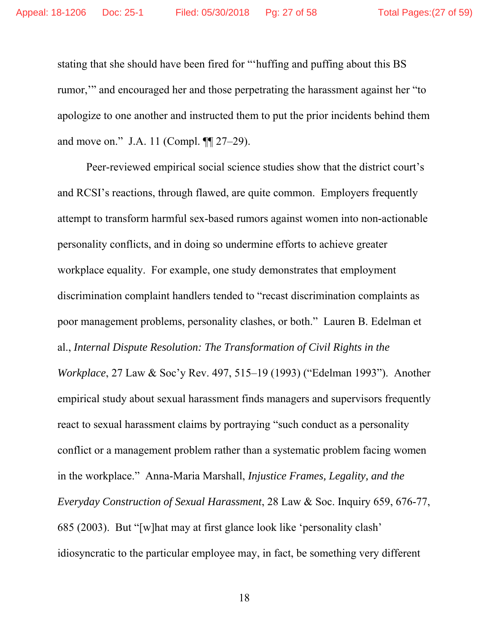stating that she should have been fired for "'huffing and puffing about this BS rumor,'" and encouraged her and those perpetrating the harassment against her "to apologize to one another and instructed them to put the prior incidents behind them and move on." J.A. 11 (Compl. ¶¶ 27–29).

Peer-reviewed empirical social science studies show that the district court's and RCSI's reactions, through flawed, are quite common. Employers frequently attempt to transform harmful sex-based rumors against women into non-actionable personality conflicts, and in doing so undermine efforts to achieve greater workplace equality. For example, one study demonstrates that employment discrimination complaint handlers tended to "recast discrimination complaints as poor management problems, personality clashes, or both." Lauren B. Edelman et al., *Internal Dispute Resolution: The Transformation of Civil Rights in the Workplace*, 27 Law & Soc'y Rev. 497, 515–19 (1993) ("Edelman 1993"). Another empirical study about sexual harassment finds managers and supervisors frequently react to sexual harassment claims by portraying "such conduct as a personality conflict or a management problem rather than a systematic problem facing women in the workplace." Anna-Maria Marshall, *Injustice Frames, Legality, and the Everyday Construction of Sexual Harassment*, 28 Law & Soc. Inquiry 659, 676-77, 685 (2003). But "[w]hat may at first glance look like 'personality clash' idiosyncratic to the particular employee may, in fact, be something very different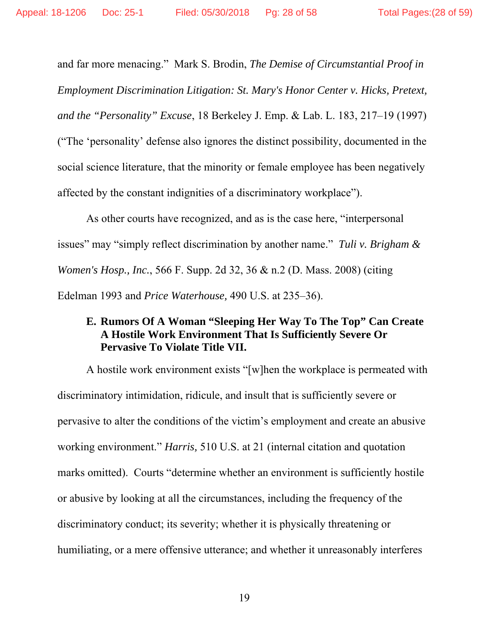and far more menacing." Mark S. Brodin, *The Demise of Circumstantial Proof in Employment Discrimination Litigation: St. Mary's Honor Center v. Hicks, Pretext, and the "Personality" Excuse*, 18 Berkeley J. Emp. & Lab. L. 183, 217–19 (1997) ("The 'personality' defense also ignores the distinct possibility, documented in the social science literature, that the minority or female employee has been negatively affected by the constant indignities of a discriminatory workplace").

As other courts have recognized, and as is the case here, "interpersonal issues" may "simply reflect discrimination by another name." *Tuli v. Brigham & Women's Hosp., Inc.*, 566 F. Supp. 2d 32, 36 & n.2 (D. Mass. 2008) (citing Edelman 1993 and *Price Waterhouse,* 490 U.S. at 235–36).

#### **E. Rumors Of A Woman "Sleeping Her Way To The Top" Can Create A Hostile Work Environment That Is Sufficiently Severe Or Pervasive To Violate Title VII.**

A hostile work environment exists "[w]hen the workplace is permeated with discriminatory intimidation, ridicule, and insult that is sufficiently severe or pervasive to alter the conditions of the victim's employment and create an abusive working environment." *Harris,* 510 U.S. at 21 (internal citation and quotation marks omitted). Courts "determine whether an environment is sufficiently hostile or abusive by looking at all the circumstances, including the frequency of the discriminatory conduct; its severity; whether it is physically threatening or humiliating, or a mere offensive utterance; and whether it unreasonably interferes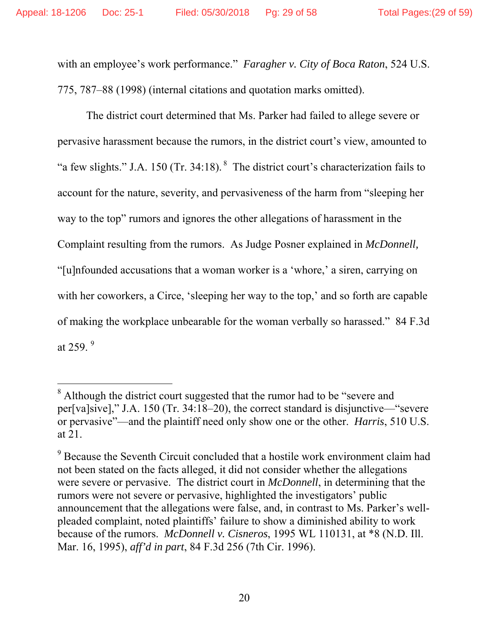$\overline{a}$ 

with an employee's work performance." *Faragher v. City of Boca Raton*, 524 U.S. 775, 787–88 (1998) (internal citations and quotation marks omitted).

The district court determined that Ms. Parker had failed to allege severe or pervasive harassment because the rumors, in the district court's view, amounted to "a few slights." J.A. 150 (Tr. 34:18). 8 The district court's characterization fails to account for the nature, severity, and pervasiveness of the harm from "sleeping her way to the top" rumors and ignores the other allegations of harassment in the Complaint resulting from the rumors. As Judge Posner explained in *McDonnell,*  "[u]nfounded accusations that a woman worker is a 'whore,' a siren, carrying on with her coworkers, a Circe, 'sleeping her way to the top,' and so forth are capable of making the workplace unbearable for the woman verbally so harassed." 84 F.3d at 259. $9$ 

<sup>&</sup>lt;sup>8</sup> Although the district court suggested that the rumor had to be "severe and per[va]sive]," J.A. 150 (Tr. 34:18–20), the correct standard is disjunctive—"severe or pervasive"—and the plaintiff need only show one or the other. *Harris*, 510 U.S. at 21.

<sup>&</sup>lt;sup>9</sup> Because the Seventh Circuit concluded that a hostile work environment claim had not been stated on the facts alleged, it did not consider whether the allegations were severe or pervasive. The district court in *McDonnell*, in determining that the rumors were not severe or pervasive, highlighted the investigators' public announcement that the allegations were false, and, in contrast to Ms. Parker's wellpleaded complaint, noted plaintiffs' failure to show a diminished ability to work because of the rumors. *McDonnell v. Cisneros*, 1995 WL 110131, at \*8 (N.D. Ill. Mar. 16, 1995), *aff'd in part*, 84 F.3d 256 (7th Cir. 1996).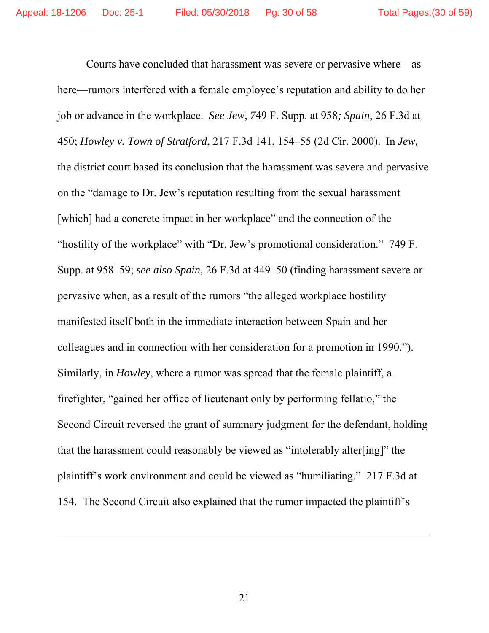Courts have concluded that harassment was severe or pervasive where—as here—rumors interfered with a female employee's reputation and ability to do her job or advance in the workplace. *See Jew*, *7*49 F. Supp. at 958*; Spain*, 26 F.3d at 450; *Howley v. Town of Stratford*, 217 F.3d 141, 154–55 (2d Cir. 2000). In *Jew,* the district court based its conclusion that the harassment was severe and pervasive on the "damage to Dr. Jew's reputation resulting from the sexual harassment [which] had a concrete impact in her workplace" and the connection of the "hostility of the workplace" with "Dr. Jew's promotional consideration." 749 F. Supp. at 958–59; *see also Spain,* 26 F.3d at 449–50 (finding harassment severe or pervasive when, as a result of the rumors "the alleged workplace hostility manifested itself both in the immediate interaction between Spain and her colleagues and in connection with her consideration for a promotion in 1990."). Similarly, in *Howley*, where a rumor was spread that the female plaintiff, a firefighter, "gained her office of lieutenant only by performing fellatio," the Second Circuit reversed the grant of summary judgment for the defendant, holding that the harassment could reasonably be viewed as "intolerably alter[ing]" the plaintiff's work environment and could be viewed as "humiliating." 217 F.3d at 154. The Second Circuit also explained that the rumor impacted the plaintiff's

 $\overline{a}$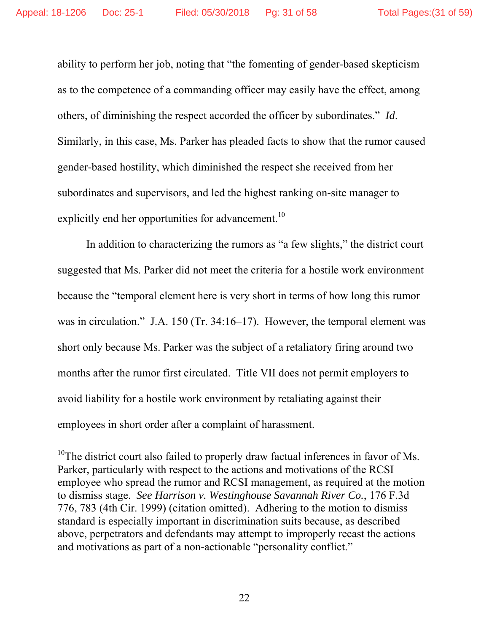$\overline{a}$ 

ability to perform her job, noting that "the fomenting of gender-based skepticism as to the competence of a commanding officer may easily have the effect, among others, of diminishing the respect accorded the officer by subordinates." *Id*. Similarly, in this case, Ms. Parker has pleaded facts to show that the rumor caused gender-based hostility, which diminished the respect she received from her subordinates and supervisors, and led the highest ranking on-site manager to explicitly end her opportunities for advancement.<sup>10</sup>

In addition to characterizing the rumors as "a few slights," the district court suggested that Ms. Parker did not meet the criteria for a hostile work environment because the "temporal element here is very short in terms of how long this rumor was in circulation." J.A. 150 (Tr. 34:16–17). However, the temporal element was short only because Ms. Parker was the subject of a retaliatory firing around two months after the rumor first circulated. Title VII does not permit employers to avoid liability for a hostile work environment by retaliating against their employees in short order after a complaint of harassment.

 $10$ <sup>10</sup>The district court also failed to properly draw factual inferences in favor of Ms. Parker, particularly with respect to the actions and motivations of the RCSI employee who spread the rumor and RCSI management, as required at the motion to dismiss stage. *See Harrison v. Westinghouse Savannah River Co.*, 176 F.3d 776, 783 (4th Cir. 1999) (citation omitted). Adhering to the motion to dismiss standard is especially important in discrimination suits because, as described above, perpetrators and defendants may attempt to improperly recast the actions and motivations as part of a non-actionable "personality conflict."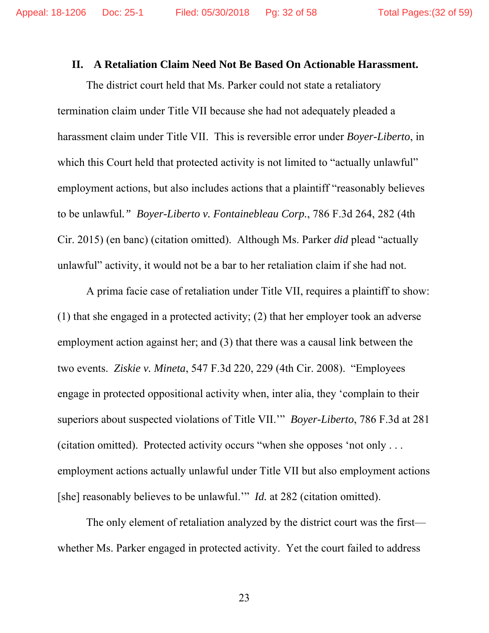#### **II. A Retaliation Claim Need Not Be Based On Actionable Harassment.**

The district court held that Ms. Parker could not state a retaliatory termination claim under Title VII because she had not adequately pleaded a harassment claim under Title VII. This is reversible error under *Boyer-Liberto*, in which this Court held that protected activity is not limited to "actually unlawful" employment actions, but also includes actions that a plaintiff "reasonably believes to be unlawful*." Boyer-Liberto v. Fontainebleau Corp.*, 786 F.3d 264, 282 (4th Cir. 2015) (en banc) (citation omitted). Although Ms. Parker *did* plead "actually unlawful" activity, it would not be a bar to her retaliation claim if she had not.

A prima facie case of retaliation under Title VII, requires a plaintiff to show: (1) that she engaged in a protected activity; (2) that her employer took an adverse employment action against her; and (3) that there was a causal link between the two events. *Ziskie v. Mineta*, 547 F.3d 220, 229 (4th Cir. 2008). "Employees engage in protected oppositional activity when, inter alia, they 'complain to their superiors about suspected violations of Title VII.'" *Boyer-Liberto*, 786 F.3d at 281 (citation omitted). Protected activity occurs "when she opposes 'not only . . . employment actions actually unlawful under Title VII but also employment actions [she] reasonably believes to be unlawful.'" *Id.* at 282 (citation omitted).

The only element of retaliation analyzed by the district court was the first whether Ms. Parker engaged in protected activity. Yet the court failed to address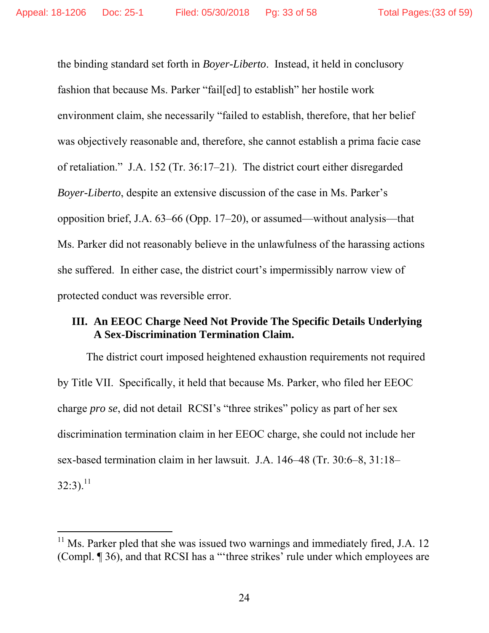-

the binding standard set forth in *Boyer-Liberto*. Instead, it held in conclusory fashion that because Ms. Parker "fail[ed] to establish" her hostile work environment claim, she necessarily "failed to establish, therefore, that her belief was objectively reasonable and, therefore, she cannot establish a prima facie case of retaliation." J.A. 152 (Tr. 36:17–21). The district court either disregarded *Boyer-Liberto*, despite an extensive discussion of the case in Ms. Parker's opposition brief, J.A. 63–66 (Opp. 17–20), or assumed—without analysis—that Ms. Parker did not reasonably believe in the unlawfulness of the harassing actions she suffered. In either case, the district court's impermissibly narrow view of protected conduct was reversible error.

#### **III. An EEOC Charge Need Not Provide The Specific Details Underlying A Sex-Discrimination Termination Claim.**

The district court imposed heightened exhaustion requirements not required by Title VII. Specifically, it held that because Ms. Parker, who filed her EEOC charge *pro se*, did not detail RCSI's "three strikes" policy as part of her sex discrimination termination claim in her EEOC charge, she could not include her sex-based termination claim in her lawsuit. J.A. 146–48 (Tr. 30:6–8, 31:18–  $32:3$ ).<sup>11</sup>

 $11$  Ms. Parker pled that she was issued two warnings and immediately fired, J.A. 12 (Compl. ¶ 36), and that RCSI has a "'three strikes' rule under which employees are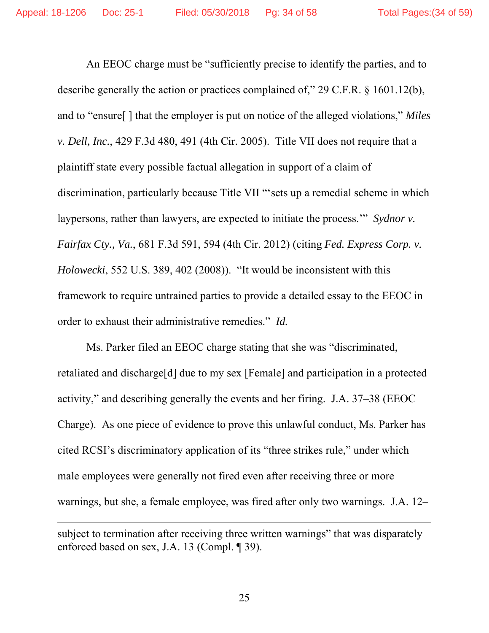An EEOC charge must be "sufficiently precise to identify the parties, and to describe generally the action or practices complained of," 29 C.F.R. § 1601.12(b), and to "ensure[ ] that the employer is put on notice of the alleged violations," *Miles v. Dell, Inc.*, 429 F.3d 480, 491 (4th Cir. 2005). Title VII does not require that a plaintiff state every possible factual allegation in support of a claim of discrimination, particularly because Title VII "'sets up a remedial scheme in which laypersons, rather than lawyers, are expected to initiate the process.'" *Sydnor v. Fairfax Cty., Va.*, 681 F.3d 591, 594 (4th Cir. 2012) (citing *Fed. Express Corp. v. Holowecki*, 552 U.S. 389, 402 (2008)). "It would be inconsistent with this framework to require untrained parties to provide a detailed essay to the EEOC in order to exhaust their administrative remedies." *Id.*

Ms. Parker filed an EEOC charge stating that she was "discriminated, retaliated and discharge[d] due to my sex [Female] and participation in a protected activity," and describing generally the events and her firing. J.A. 37–38 (EEOC Charge). As one piece of evidence to prove this unlawful conduct, Ms. Parker has cited RCSI's discriminatory application of its "three strikes rule," under which male employees were generally not fired even after receiving three or more warnings, but she, a female employee, was fired after only two warnings. J.A. 12–  $\overline{a}$ 

subject to termination after receiving three written warnings" that was disparately enforced based on sex, J.A. 13 (Compl. ¶ 39).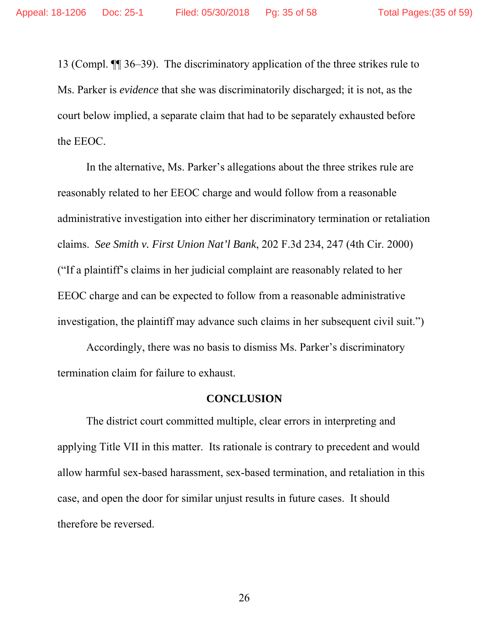13 (Compl. ¶¶ 36–39). The discriminatory application of the three strikes rule to Ms. Parker is *evidence* that she was discriminatorily discharged; it is not, as the court below implied, a separate claim that had to be separately exhausted before the EEOC.

In the alternative, Ms. Parker's allegations about the three strikes rule are reasonably related to her EEOC charge and would follow from a reasonable administrative investigation into either her discriminatory termination or retaliation claims. *See Smith v. First Union Nat'l Bank*, 202 F.3d 234, 247 (4th Cir. 2000) ("If a plaintiff's claims in her judicial complaint are reasonably related to her EEOC charge and can be expected to follow from a reasonable administrative investigation, the plaintiff may advance such claims in her subsequent civil suit.")

Accordingly, there was no basis to dismiss Ms. Parker's discriminatory termination claim for failure to exhaust.

#### **CONCLUSION**

The district court committed multiple, clear errors in interpreting and applying Title VII in this matter. Its rationale is contrary to precedent and would allow harmful sex-based harassment, sex-based termination, and retaliation in this case, and open the door for similar unjust results in future cases. It should therefore be reversed.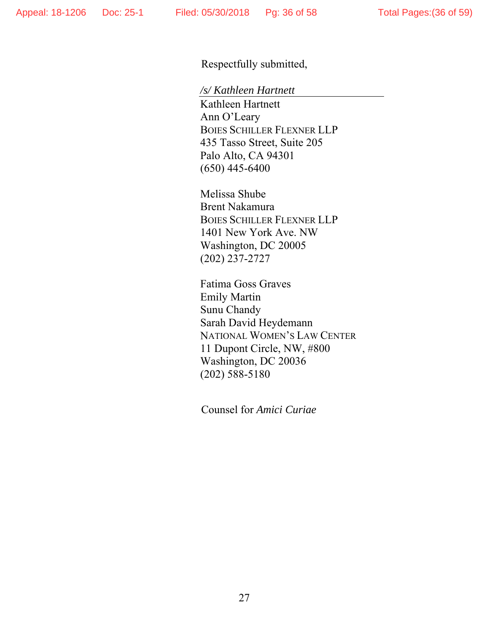Respectfully submitted,

*/s/ Kathleen Hartnett* 

Kathleen Hartnett Ann O'Leary BOIES SCHILLER FLEXNER LLP 435 Tasso Street, Suite 205 Palo Alto, CA 94301 (650) 445-6400

Melissa Shube Brent Nakamura BOIES SCHILLER FLEXNER LLP 1401 New York Ave. NW Washington, DC 20005 (202) 237-2727

Fatima Goss Graves Emily Martin Sunu Chandy Sarah David Heydemann NATIONAL WOMEN'S LAW CENTER 11 Dupont Circle, NW, #800 Washington, DC 20036 (202) 588-5180

Counsel for *Amici Curiae*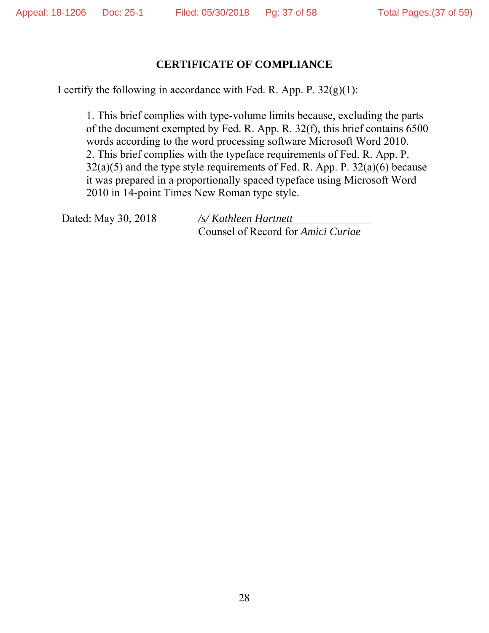#### **CERTIFICATE OF COMPLIANCE**

I certify the following in accordance with Fed. R. App. P.  $32(g)(1)$ :

1. This brief complies with type-volume limits because, excluding the parts of the document exempted by Fed. R. App. R. 32(f), this brief contains 6500 words according to the word processing software Microsoft Word 2010. 2. This brief complies with the typeface requirements of Fed. R. App. P.  $32(a)(5)$  and the type style requirements of Fed. R. App. P.  $32(a)(6)$  because it was prepared in a proportionally spaced typeface using Microsoft Word 2010 in 14-point Times New Roman type style.

Dated: May 30, 2018 */s/ Kathleen Hartnett*

Counsel of Record for *Amici Curiae*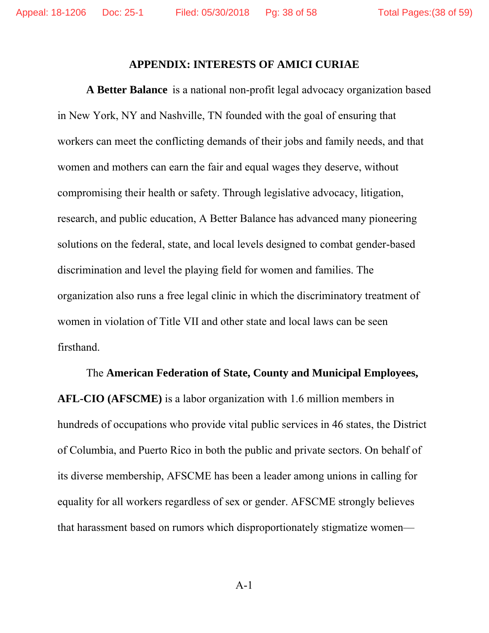#### **APPENDIX: INTERESTS OF AMICI CURIAE**

**A Better Balance** is a national non-profit legal advocacy organization based in New York, NY and Nashville, TN founded with the goal of ensuring that workers can meet the conflicting demands of their jobs and family needs, and that women and mothers can earn the fair and equal wages they deserve, without compromising their health or safety. Through legislative advocacy, litigation, research, and public education, A Better Balance has advanced many pioneering solutions on the federal, state, and local levels designed to combat gender-based discrimination and level the playing field for women and families. The organization also runs a free legal clinic in which the discriminatory treatment of women in violation of Title VII and other state and local laws can be seen firsthand.

The **American Federation of State, County and Municipal Employees, AFL-CIO (AFSCME)** is a labor organization with 1.6 million members in hundreds of occupations who provide vital public services in 46 states, the District of Columbia, and Puerto Rico in both the public and private sectors. On behalf of its diverse membership, AFSCME has been a leader among unions in calling for equality for all workers regardless of sex or gender. AFSCME strongly believes that harassment based on rumors which disproportionately stigmatize women—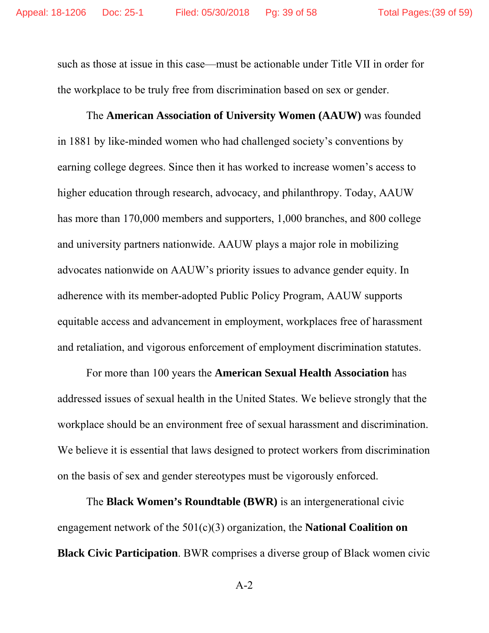such as those at issue in this case—must be actionable under Title VII in order for the workplace to be truly free from discrimination based on sex or gender.

The **American Association of University Women (AAUW)** was founded in 1881 by like-minded women who had challenged society's conventions by earning college degrees. Since then it has worked to increase women's access to higher education through research, advocacy, and philanthropy. Today, AAUW has more than 170,000 members and supporters, 1,000 branches, and 800 college and university partners nationwide. AAUW plays a major role in mobilizing advocates nationwide on AAUW's priority issues to advance gender equity. In adherence with its member-adopted Public Policy Program, AAUW supports equitable access and advancement in employment, workplaces free of harassment and retaliation, and vigorous enforcement of employment discrimination statutes.

For more than 100 years the **American Sexual Health Association** has addressed issues of sexual health in the United States. We believe strongly that the workplace should be an environment free of sexual harassment and discrimination. We believe it is essential that laws designed to protect workers from discrimination on the basis of sex and gender stereotypes must be vigorously enforced.

The **Black Women's Roundtable (BWR)** is an intergenerational civic engagement network of the 501(c)(3) organization, the **National Coalition on Black Civic Participation**. BWR comprises a diverse group of Black women civic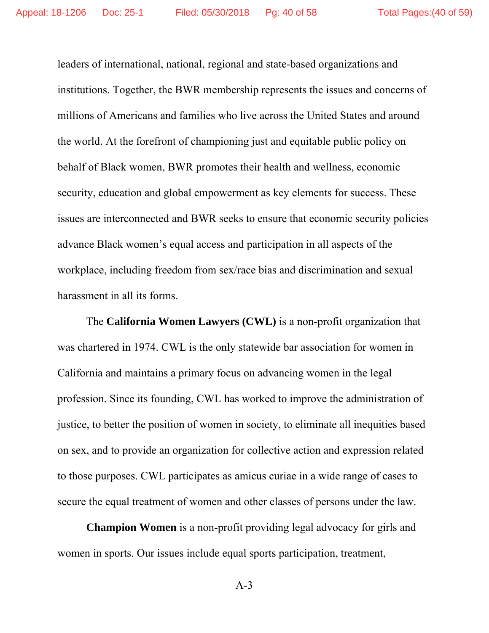leaders of international, national, regional and state-based organizations and institutions. Together, the BWR membership represents the issues and concerns of millions of Americans and families who live across the United States and around the world. At the forefront of championing just and equitable public policy on behalf of Black women, BWR promotes their health and wellness, economic security, education and global empowerment as key elements for success. These issues are interconnected and BWR seeks to ensure that economic security policies advance Black women's equal access and participation in all aspects of the workplace, including freedom from sex/race bias and discrimination and sexual harassment in all its forms.

The **California Women Lawyers (CWL)** is a non-profit organization that was chartered in 1974. CWL is the only statewide bar association for women in California and maintains a primary focus on advancing women in the legal profession. Since its founding, CWL has worked to improve the administration of justice, to better the position of women in society, to eliminate all inequities based on sex, and to provide an organization for collective action and expression related to those purposes. CWL participates as amicus curiae in a wide range of cases to secure the equal treatment of women and other classes of persons under the law.

**Champion Women** is a non-profit providing legal advocacy for girls and women in sports. Our issues include equal sports participation, treatment,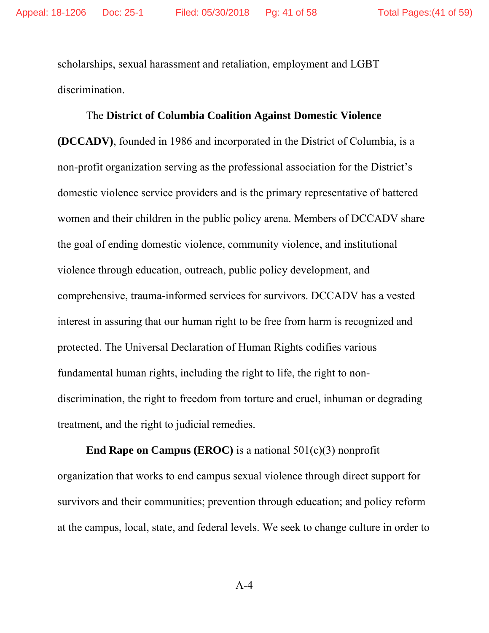scholarships, sexual harassment and retaliation, employment and LGBT discrimination.

## The **District of Columbia Coalition Against Domestic Violence**

**(DCCADV)**, founded in 1986 and incorporated in the District of Columbia, is a non-profit organization serving as the professional association for the District's domestic violence service providers and is the primary representative of battered women and their children in the public policy arena. Members of DCCADV share the goal of ending domestic violence, community violence, and institutional violence through education, outreach, public policy development, and comprehensive, trauma-informed services for survivors. DCCADV has a vested interest in assuring that our human right to be free from harm is recognized and protected. The Universal Declaration of Human Rights codifies various fundamental human rights, including the right to life, the right to nondiscrimination, the right to freedom from torture and cruel, inhuman or degrading treatment, and the right to judicial remedies.

**End Rape on Campus (EROC)** is a national 501(c)(3) nonprofit organization that works to end campus sexual violence through direct support for survivors and their communities; prevention through education; and policy reform at the campus, local, state, and federal levels. We seek to change culture in order to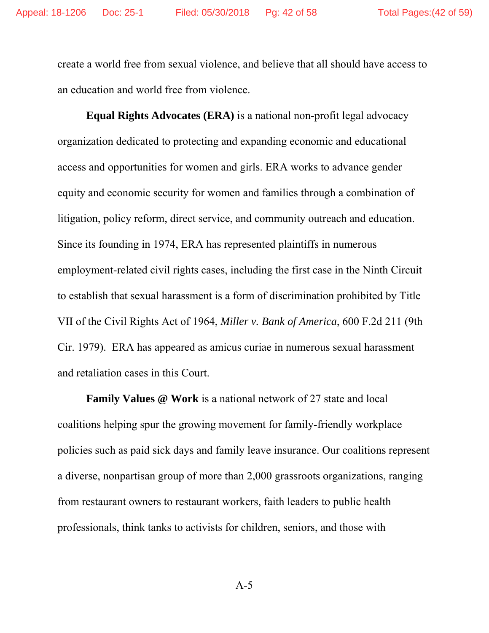create a world free from sexual violence, and believe that all should have access to an education and world free from violence.

**Equal Rights Advocates (ERA)** is a national non-profit legal advocacy organization dedicated to protecting and expanding economic and educational access and opportunities for women and girls. ERA works to advance gender equity and economic security for women and families through a combination of litigation, policy reform, direct service, and community outreach and education. Since its founding in 1974, ERA has represented plaintiffs in numerous employment-related civil rights cases, including the first case in the Ninth Circuit to establish that sexual harassment is a form of discrimination prohibited by Title VII of the Civil Rights Act of 1964, *Miller v. Bank of America*, 600 F.2d 211 (9th Cir. 1979). ERA has appeared as amicus curiae in numerous sexual harassment and retaliation cases in this Court.

**Family Values @ Work** is a national network of 27 state and local coalitions helping spur the growing movement for family-friendly workplace policies such as paid sick days and family leave insurance. Our coalitions represent a diverse, nonpartisan group of more than 2,000 grassroots organizations, ranging from restaurant owners to restaurant workers, faith leaders to public health professionals, think tanks to activists for children, seniors, and those with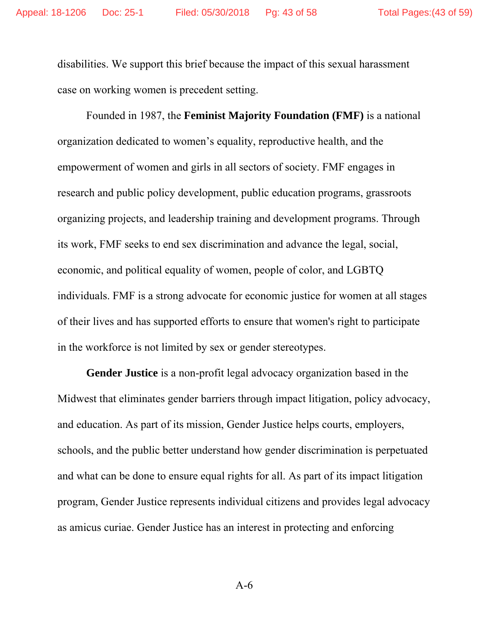disabilities. We support this brief because the impact of this sexual harassment case on working women is precedent setting.

Founded in 1987, the **Feminist Majority Foundation (FMF)** is a national organization dedicated to women's equality, reproductive health, and the empowerment of women and girls in all sectors of society. FMF engages in research and public policy development, public education programs, grassroots organizing projects, and leadership training and development programs. Through its work, FMF seeks to end sex discrimination and advance the legal, social, economic, and political equality of women, people of color, and LGBTQ individuals. FMF is a strong advocate for economic justice for women at all stages of their lives and has supported efforts to ensure that women's right to participate in the workforce is not limited by sex or gender stereotypes.

**Gender Justice** is a non-profit legal advocacy organization based in the Midwest that eliminates gender barriers through impact litigation, policy advocacy, and education. As part of its mission, Gender Justice helps courts, employers, schools, and the public better understand how gender discrimination is perpetuated and what can be done to ensure equal rights for all. As part of its impact litigation program, Gender Justice represents individual citizens and provides legal advocacy as amicus curiae. Gender Justice has an interest in protecting and enforcing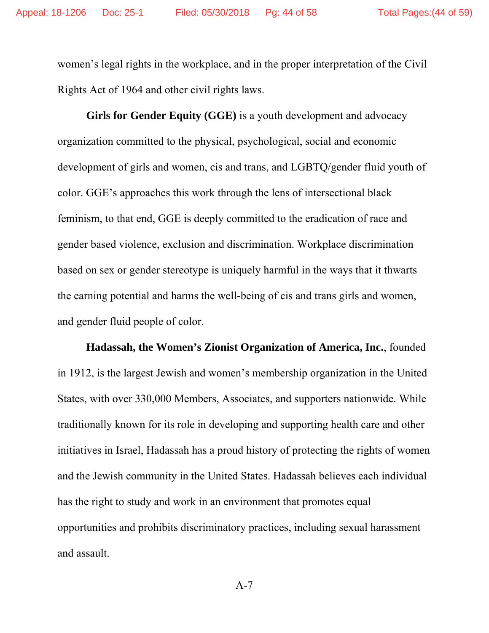women's legal rights in the workplace, and in the proper interpretation of the Civil Rights Act of 1964 and other civil rights laws.

**Girls for Gender Equity (GGE)** is a youth development and advocacy organization committed to the physical, psychological, social and economic development of girls and women, cis and trans, and LGBTQ/gender fluid youth of color. GGE's approaches this work through the lens of intersectional black feminism, to that end, GGE is deeply committed to the eradication of race and gender based violence, exclusion and discrimination. Workplace discrimination based on sex or gender stereotype is uniquely harmful in the ways that it thwarts the earning potential and harms the well-being of cis and trans girls and women, and gender fluid people of color.

**Hadassah, the Women's Zionist Organization of America, Inc.**, founded in 1912, is the largest Jewish and women's membership organization in the United States, with over 330,000 Members, Associates, and supporters nationwide. While traditionally known for its role in developing and supporting health care and other initiatives in Israel, Hadassah has a proud history of protecting the rights of women and the Jewish community in the United States. Hadassah believes each individual has the right to study and work in an environment that promotes equal opportunities and prohibits discriminatory practices, including sexual harassment and assault.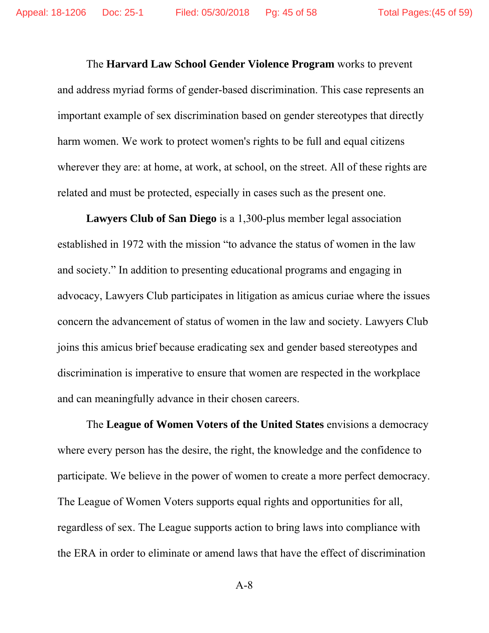The **Harvard Law School Gender Violence Program** works to prevent and address myriad forms of gender-based discrimination. This case represents an important example of sex discrimination based on gender stereotypes that directly harm women. We work to protect women's rights to be full and equal citizens wherever they are: at home, at work, at school, on the street. All of these rights are related and must be protected, especially in cases such as the present one.

**Lawyers Club of San Diego** is a 1,300-plus member legal association established in 1972 with the mission "to advance the status of women in the law and society." In addition to presenting educational programs and engaging in advocacy, Lawyers Club participates in litigation as amicus curiae where the issues concern the advancement of status of women in the law and society. Lawyers Club joins this amicus brief because eradicating sex and gender based stereotypes and discrimination is imperative to ensure that women are respected in the workplace and can meaningfully advance in their chosen careers.

The **League of Women Voters of the United States** envisions a democracy where every person has the desire, the right, the knowledge and the confidence to participate. We believe in the power of women to create a more perfect democracy. The League of Women Voters supports equal rights and opportunities for all, regardless of sex. The League supports action to bring laws into compliance with the ERA in order to eliminate or amend laws that have the effect of discrimination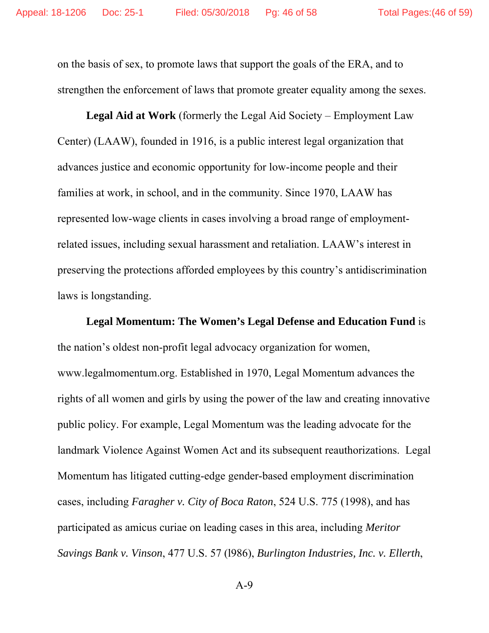on the basis of sex, to promote laws that support the goals of the ERA, and to strengthen the enforcement of laws that promote greater equality among the sexes.

 **Legal Aid at Work** (formerly the Legal Aid Society – Employment Law Center) (LAAW), founded in 1916, is a public interest legal organization that advances justice and economic opportunity for low-income people and their families at work, in school, and in the community. Since 1970, LAAW has represented low-wage clients in cases involving a broad range of employmentrelated issues, including sexual harassment and retaliation. LAAW's interest in preserving the protections afforded employees by this country's antidiscrimination laws is longstanding.

**Legal Momentum: The Women's Legal Defense and Education Fund** is the nation's oldest non-profit legal advocacy organization for women, www.legalmomentum.org. Established in 1970, Legal Momentum advances the rights of all women and girls by using the power of the law and creating innovative public policy. For example, Legal Momentum was the leading advocate for the landmark Violence Against Women Act and its subsequent reauthorizations. Legal Momentum has litigated cutting-edge gender-based employment discrimination cases, including *Faragher v. City of Boca Raton*, 524 U.S. 775 (1998), and has participated as amicus curiae on leading cases in this area, including *Meritor Savings Bank v. Vinson*, 477 U.S. 57 (l986), *Burlington Industries, Inc. v. Ellerth*,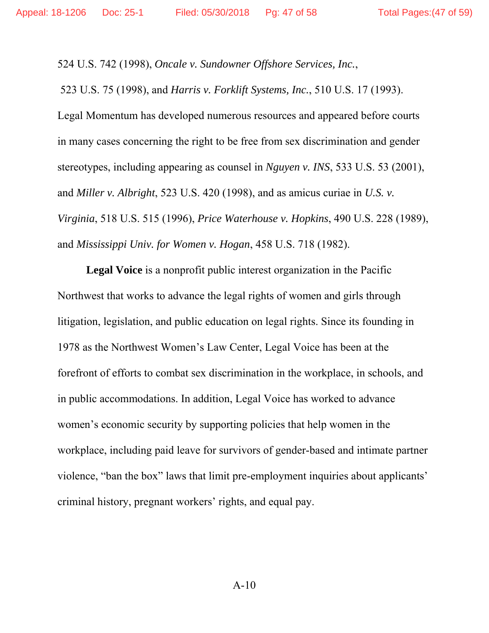524 U.S. 742 (1998), *Oncale v. Sundowner Offshore Services, Inc.*,

523 U.S. 75 (1998), and *Harris v. Forklift Systems, Inc.*, 510 U.S. 17 (1993).

Legal Momentum has developed numerous resources and appeared before courts in many cases concerning the right to be free from sex discrimination and gender stereotypes, including appearing as counsel in *Nguyen v. INS*, 533 U.S. 53 (2001), and *Miller v. Albright*, 523 U.S. 420 (1998), and as amicus curiae in *U.S. v. Virginia*, 518 U.S. 515 (1996), *Price Waterhouse v. Hopkins*, 490 U.S. 228 (1989), and *Mississippi Univ. for Women v. Hogan*, 458 U.S. 718 (1982).

**Legal Voice** is a nonprofit public interest organization in the Pacific Northwest that works to advance the legal rights of women and girls through litigation, legislation, and public education on legal rights. Since its founding in 1978 as the Northwest Women's Law Center, Legal Voice has been at the forefront of efforts to combat sex discrimination in the workplace, in schools, and in public accommodations. In addition, Legal Voice has worked to advance women's economic security by supporting policies that help women in the workplace, including paid leave for survivors of gender-based and intimate partner violence, "ban the box" laws that limit pre-employment inquiries about applicants' criminal history, pregnant workers' rights, and equal pay.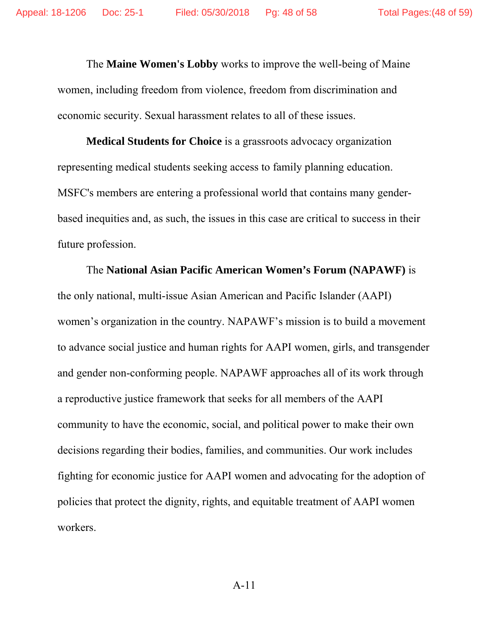The **Maine Women's Lobby** works to improve the well-being of Maine women, including freedom from violence, freedom from discrimination and economic security. Sexual harassment relates to all of these issues.

**Medical Students for Choice** is a grassroots advocacy organization representing medical students seeking access to family planning education. MSFC's members are entering a professional world that contains many genderbased inequities and, as such, the issues in this case are critical to success in their future profession.

The **National Asian Pacific American Women's Forum (NAPAWF)** is the only national, multi-issue Asian American and Pacific Islander (AAPI) women's organization in the country. NAPAWF's mission is to build a movement to advance social justice and human rights for AAPI women, girls, and transgender and gender non-conforming people. NAPAWF approaches all of its work through a reproductive justice framework that seeks for all members of the AAPI community to have the economic, social, and political power to make their own decisions regarding their bodies, families, and communities. Our work includes fighting for economic justice for AAPI women and advocating for the adoption of policies that protect the dignity, rights, and equitable treatment of AAPI women workers.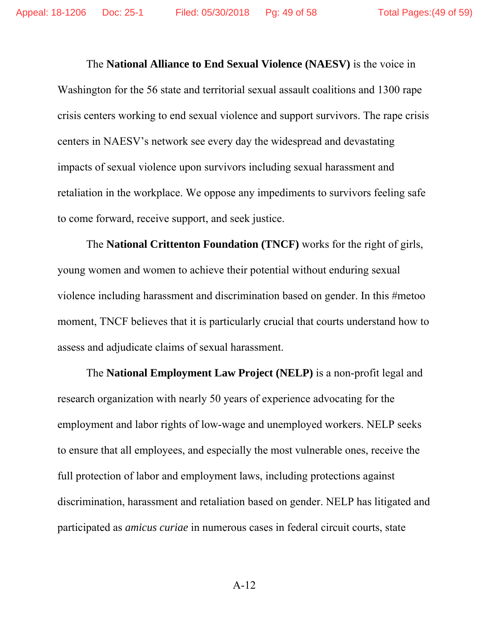The **National Alliance to End Sexual Violence (NAESV)** is the voice in Washington for the 56 state and territorial sexual assault coalitions and 1300 rape crisis centers working to end sexual violence and support survivors. The rape crisis centers in NAESV's network see every day the widespread and devastating impacts of sexual violence upon survivors including sexual harassment and retaliation in the workplace. We oppose any impediments to survivors feeling safe to come forward, receive support, and seek justice.

The **National Crittenton Foundation (TNCF)** works for the right of girls, young women and women to achieve their potential without enduring sexual violence including harassment and discrimination based on gender. In this #metoo moment, TNCF believes that it is particularly crucial that courts understand how to assess and adjudicate claims of sexual harassment.

The **National Employment Law Project (NELP)** is a non-profit legal and research organization with nearly 50 years of experience advocating for the employment and labor rights of low-wage and unemployed workers. NELP seeks to ensure that all employees, and especially the most vulnerable ones, receive the full protection of labor and employment laws, including protections against discrimination, harassment and retaliation based on gender. NELP has litigated and participated as *amicus curiae* in numerous cases in federal circuit courts, state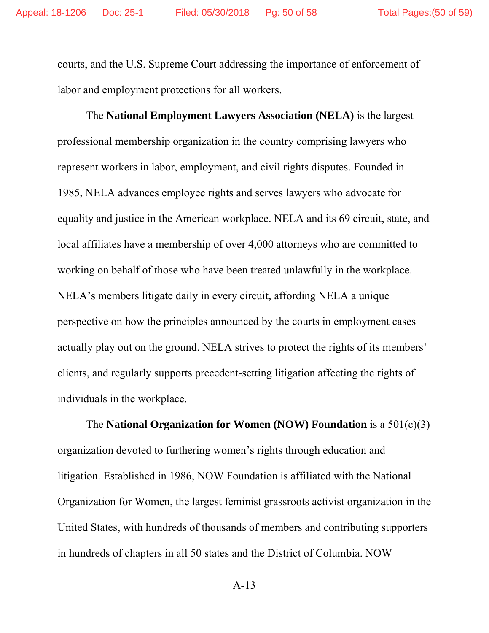courts, and the U.S. Supreme Court addressing the importance of enforcement of labor and employment protections for all workers.

The **National Employment Lawyers Association (NELA)** is the largest professional membership organization in the country comprising lawyers who represent workers in labor, employment, and civil rights disputes. Founded in 1985, NELA advances employee rights and serves lawyers who advocate for equality and justice in the American workplace. NELA and its 69 circuit, state, and local affiliates have a membership of over 4,000 attorneys who are committed to working on behalf of those who have been treated unlawfully in the workplace. NELA's members litigate daily in every circuit, affording NELA a unique perspective on how the principles announced by the courts in employment cases actually play out on the ground. NELA strives to protect the rights of its members' clients, and regularly supports precedent-setting litigation affecting the rights of individuals in the workplace.

The **National Organization for Women (NOW) Foundation** is a 501(c)(3) organization devoted to furthering women's rights through education and litigation. Established in 1986, NOW Foundation is affiliated with the National Organization for Women, the largest feminist grassroots activist organization in the United States, with hundreds of thousands of members and contributing supporters in hundreds of chapters in all 50 states and the District of Columbia. NOW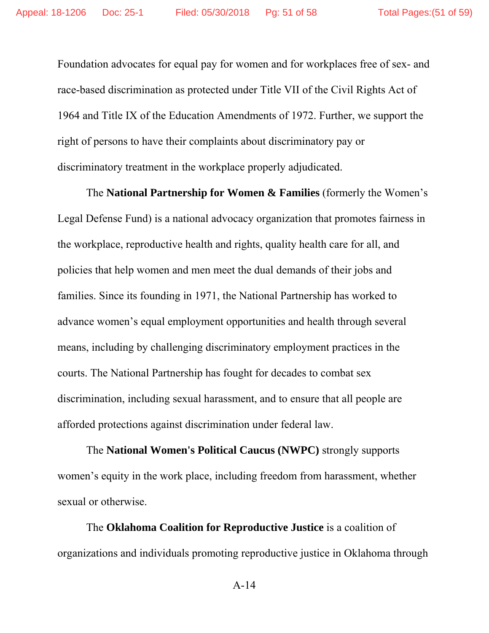Foundation advocates for equal pay for women and for workplaces free of sex- and race-based discrimination as protected under Title VII of the Civil Rights Act of 1964 and Title IX of the Education Amendments of 1972. Further, we support the right of persons to have their complaints about discriminatory pay or discriminatory treatment in the workplace properly adjudicated.

The **National Partnership for Women & Families** (formerly the Women's Legal Defense Fund) is a national advocacy organization that promotes fairness in the workplace, reproductive health and rights, quality health care for all, and policies that help women and men meet the dual demands of their jobs and families. Since its founding in 1971, the National Partnership has worked to advance women's equal employment opportunities and health through several means, including by challenging discriminatory employment practices in the courts. The National Partnership has fought for decades to combat sex discrimination, including sexual harassment, and to ensure that all people are afforded protections against discrimination under federal law.

The **National Women's Political Caucus (NWPC)** strongly supports women's equity in the work place, including freedom from harassment, whether sexual or otherwise.

The **Oklahoma Coalition for Reproductive Justice** is a coalition of organizations and individuals promoting reproductive justice in Oklahoma through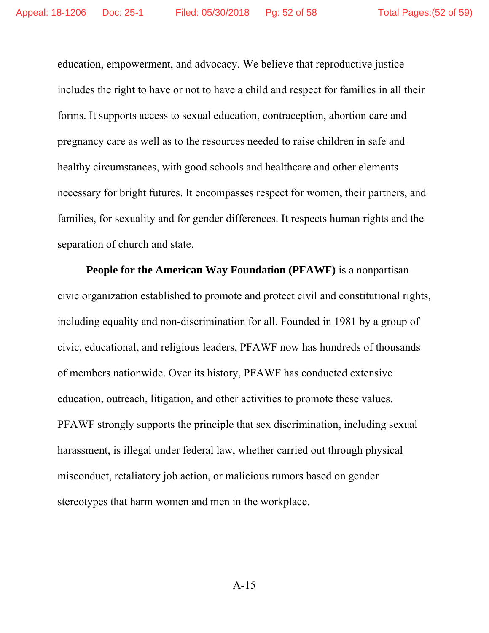education, empowerment, and advocacy. We believe that reproductive justice includes the right to have or not to have a child and respect for families in all their forms. It supports access to sexual education, contraception, abortion care and pregnancy care as well as to the resources needed to raise children in safe and healthy circumstances, with good schools and healthcare and other elements necessary for bright futures. It encompasses respect for women, their partners, and families, for sexuality and for gender differences. It respects human rights and the separation of church and state.

**People for the American Way Foundation (PFAWF)** is a nonpartisan civic organization established to promote and protect civil and constitutional rights, including equality and non-discrimination for all. Founded in 1981 by a group of civic, educational, and religious leaders, PFAWF now has hundreds of thousands of members nationwide. Over its history, PFAWF has conducted extensive education, outreach, litigation, and other activities to promote these values. PFAWF strongly supports the principle that sex discrimination, including sexual harassment, is illegal under federal law, whether carried out through physical misconduct, retaliatory job action, or malicious rumors based on gender stereotypes that harm women and men in the workplace.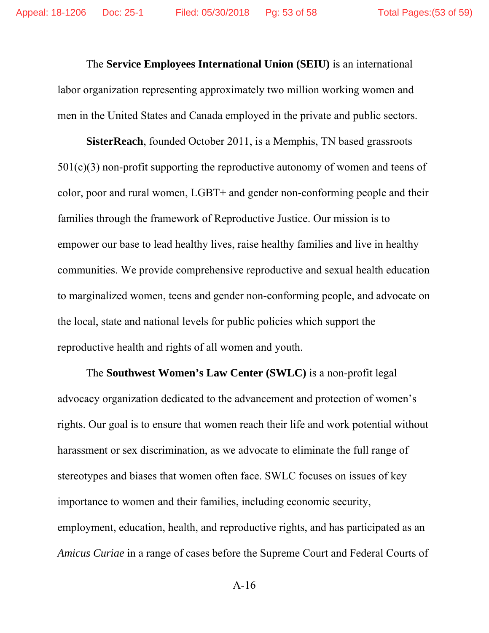The **Service Employees International Union (SEIU)** is an international labor organization representing approximately two million working women and men in the United States and Canada employed in the private and public sectors.

**SisterReach**, founded October 2011, is a Memphis, TN based grassroots 501(c)(3) non-profit supporting the reproductive autonomy of women and teens of color, poor and rural women, LGBT+ and gender non-conforming people and their families through the framework of Reproductive Justice. Our mission is to empower our base to lead healthy lives, raise healthy families and live in healthy communities. We provide comprehensive reproductive and sexual health education to marginalized women, teens and gender non-conforming people, and advocate on the local, state and national levels for public policies which support the reproductive health and rights of all women and youth.

The **Southwest Women's Law Center (SWLC)** is a non-profit legal advocacy organization dedicated to the advancement and protection of women's rights. Our goal is to ensure that women reach their life and work potential without harassment or sex discrimination, as we advocate to eliminate the full range of stereotypes and biases that women often face. SWLC focuses on issues of key importance to women and their families, including economic security, employment, education, health, and reproductive rights, and has participated as an *Amicus Curiae* in a range of cases before the Supreme Court and Federal Courts of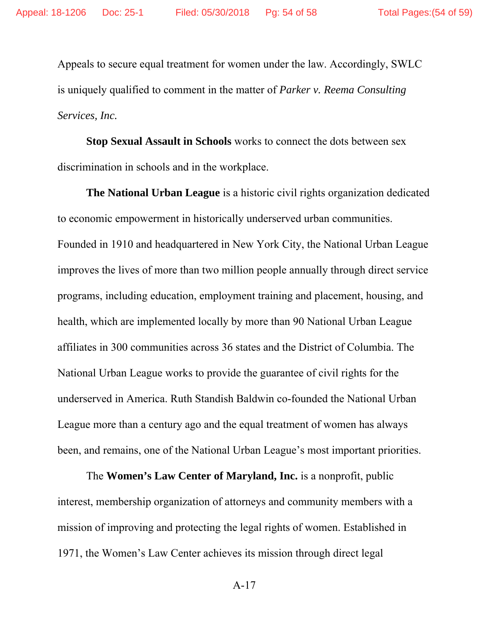Appeals to secure equal treatment for women under the law. Accordingly, SWLC is uniquely qualified to comment in the matter of *Parker v. Reema Consulting Services, Inc.*

**Stop Sexual Assault in Schools** works to connect the dots between sex discrimination in schools and in the workplace.

**The National Urban League** is a historic civil rights organization dedicated to economic empowerment in historically underserved urban communities. Founded in 1910 and headquartered in New York City, the National Urban League improves the lives of more than two million people annually through direct service programs, including education, employment training and placement, housing, and health, which are implemented locally by more than 90 National Urban League affiliates in 300 communities across 36 states and the District of Columbia. The National Urban League works to provide the guarantee of civil rights for the underserved in America. Ruth Standish Baldwin co-founded the National Urban League more than a century ago and the equal treatment of women has always been, and remains, one of the National Urban League's most important priorities.

The **Women's Law Center of Maryland, Inc.** is a nonprofit, public interest, membership organization of attorneys and community members with a mission of improving and protecting the legal rights of women. Established in 1971, the Women's Law Center achieves its mission through direct legal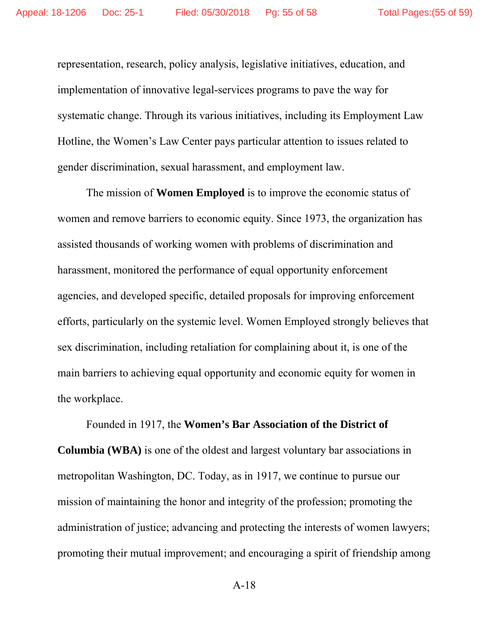representation, research, policy analysis, legislative initiatives, education, and implementation of innovative legal-services programs to pave the way for systematic change. Through its various initiatives, including its Employment Law Hotline, the Women's Law Center pays particular attention to issues related to gender discrimination, sexual harassment, and employment law.

The mission of **Women Employed** is to improve the economic status of women and remove barriers to economic equity. Since 1973, the organization has assisted thousands of working women with problems of discrimination and harassment, monitored the performance of equal opportunity enforcement agencies, and developed specific, detailed proposals for improving enforcement efforts, particularly on the systemic level. Women Employed strongly believes that sex discrimination, including retaliation for complaining about it, is one of the main barriers to achieving equal opportunity and economic equity for women in the workplace.

Founded in 1917, the **Women's Bar Association of the District of Columbia (WBA)** is one of the oldest and largest voluntary bar associations in metropolitan Washington, DC. Today, as in 1917, we continue to pursue our mission of maintaining the honor and integrity of the profession; promoting the administration of justice; advancing and protecting the interests of women lawyers; promoting their mutual improvement; and encouraging a spirit of friendship among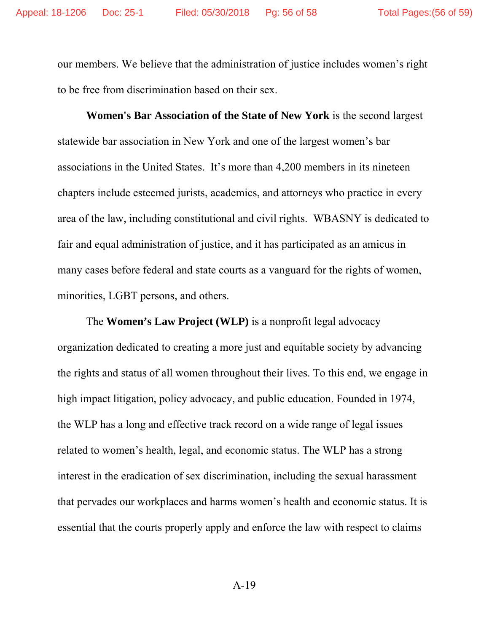our members. We believe that the administration of justice includes women's right to be free from discrimination based on their sex.

**Women's Bar Association of the State of New York** is the second largest statewide bar association in New York and one of the largest women's bar associations in the United States. It's more than 4,200 members in its nineteen chapters include esteemed jurists, academics, and attorneys who practice in every area of the law, including constitutional and civil rights. WBASNY is dedicated to fair and equal administration of justice, and it has participated as an amicus in many cases before federal and state courts as a vanguard for the rights of women, minorities, LGBT persons, and others.

The **Women's Law Project (WLP)** is a nonprofit legal advocacy organization dedicated to creating a more just and equitable society by advancing the rights and status of all women throughout their lives. To this end, we engage in high impact litigation, policy advocacy, and public education. Founded in 1974, the WLP has a long and effective track record on a wide range of legal issues related to women's health, legal, and economic status. The WLP has a strong interest in the eradication of sex discrimination, including the sexual harassment that pervades our workplaces and harms women's health and economic status. It is essential that the courts properly apply and enforce the law with respect to claims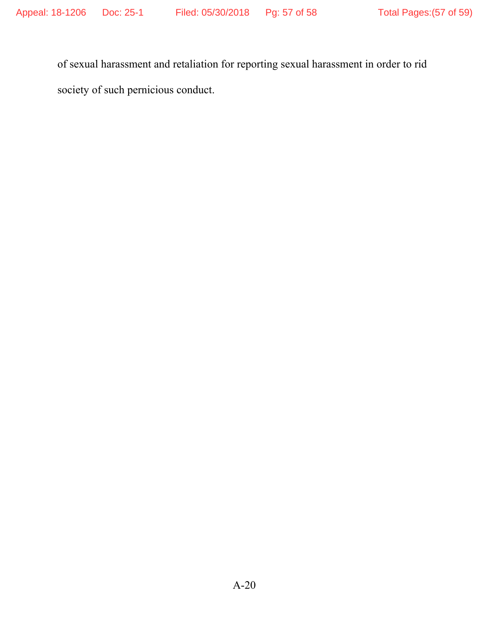of sexual harassment and retaliation for reporting sexual harassment in order to rid society of such pernicious conduct.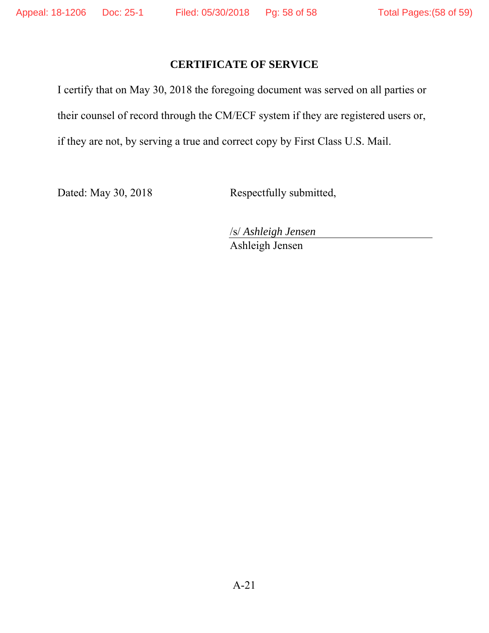## **CERTIFICATE OF SERVICE**

I certify that on May 30, 2018 the foregoing document was served on all parties or their counsel of record through the CM/ECF system if they are registered users or, if they are not, by serving a true and correct copy by First Class U.S. Mail.

Dated: May 30, 2018 Respectfully submitted,

/s/ *Ashleigh Jensen*  Ashleigh Jensen